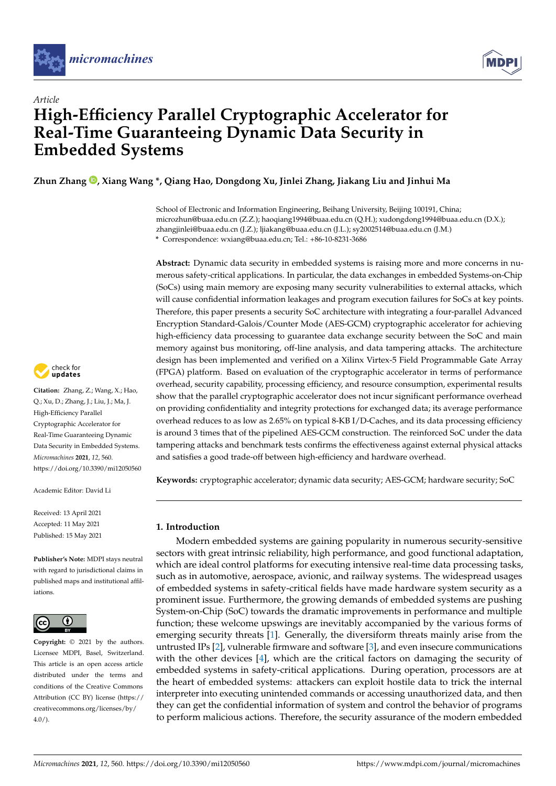



# *Article* **High-Efficiency Parallel Cryptographic Accelerator for Real-Time Guaranteeing Dynamic Data Security in Embedded Systems**

**Zhun Zhang [,](https://orcid.org/0000-0001-7726-4547) Xiang Wang \*, Qiang Hao, Dongdong Xu, Jinlei Zhang, Jiakang Liu and Jinhui Ma**

School of Electronic and Information Engineering, Beihang University, Beijing 100191, China; microzhun@buaa.edu.cn (Z.Z.); haoqiang1994@buaa.edu.cn (Q.H.); xudongdong1994@buaa.edu.cn (D.X.); zhangjinlei@buaa.edu.cn (J.Z.); ljiakang@buaa.edu.cn (J.L.); sy2002514@buaa.edu.cn (J.M.) **\*** Correspondence: wxiang@buaa.edu.cn; Tel.: +86-10-8231-3686

**Abstract:** Dynamic data security in embedded systems is raising more and more concerns in numerous safety-critical applications. In particular, the data exchanges in embedded Systems-on-Chip (SoCs) using main memory are exposing many security vulnerabilities to external attacks, which will cause confidential information leakages and program execution failures for SoCs at key points. Therefore, this paper presents a security SoC architecture with integrating a four-parallel Advanced Encryption Standard-Galois/Counter Mode (AES-GCM) cryptographic accelerator for achieving high-efficiency data processing to guarantee data exchange security between the SoC and main memory against bus monitoring, off-line analysis, and data tampering attacks. The architecture design has been implemented and verified on a Xilinx Virtex-5 Field Programmable Gate Array (FPGA) platform. Based on evaluation of the cryptographic accelerator in terms of performance overhead, security capability, processing efficiency, and resource consumption, experimental results show that the parallel cryptographic accelerator does not incur significant performance overhead on providing confidentiality and integrity protections for exchanged data; its average performance overhead reduces to as low as 2.65% on typical 8-KB I/D-Caches, and its data processing efficiency is around 3 times that of the pipelined AES-GCM construction. The reinforced SoC under the data tampering attacks and benchmark tests confirms the effectiveness against external physical attacks and satisfies a good trade-off between high-efficiency and hardware overhead.

**Keywords:** cryptographic accelerator; dynamic data security; AES-GCM; hardware security; SoC

# **1. Introduction**

Modern embedded systems are gaining popularity in numerous security-sensitive sectors with great intrinsic reliability, high performance, and good functional adaptation, which are ideal control platforms for executing intensive real-time data processing tasks, such as in automotive, aerospace, avionic, and railway systems. The widespread usages of embedded systems in safety-critical fields have made hardware system security as a prominent issue. Furthermore, the growing demands of embedded systems are pushing System-on-Chip (SoC) towards the dramatic improvements in performance and multiple function; these welcome upswings are inevitably accompanied by the various forms of emerging security threats [\[1\]](#page-22-0). Generally, the diversiform threats mainly arise from the untrusted IPs [\[2\]](#page-22-1), vulnerable firmware and software [\[3\]](#page-22-2), and even insecure communications with the other devices [\[4\]](#page-22-3), which are the critical factors on damaging the security of embedded systems in safety-critical applications. During operation, processors are at the heart of embedded systems: attackers can exploit hostile data to trick the internal interpreter into executing unintended commands or accessing unauthorized data, and then they can get the confidential information of system and control the behavior of programs to perform malicious actions. Therefore, the security assurance of the modern embedded



**Citation:** Zhang, Z.; Wang, X.; Hao, Q.; Xu, D.; Zhang, J.; Liu, J.; Ma, J. High-Efficiency Parallel Cryptographic Accelerator for Real-Time Guaranteeing Dynamic Data Security in Embedded Systems. *Micromachines* **2021**, *12*, 560. <https://doi.org/10.3390/mi12050560>

Academic Editor: David Li

Received: 13 April 2021 Accepted: 11 May 2021 Published: 15 May 2021

**Publisher's Note:** MDPI stays neutral with regard to jurisdictional claims in published maps and institutional affiliations.



**Copyright:** © 2021 by the authors. Licensee MDPI, Basel, Switzerland. This article is an open access article distributed under the terms and conditions of the Creative Commons Attribution (CC BY) license (https:/[/](https://creativecommons.org/licenses/by/4.0/) [creativecommons.org/licenses/by/](https://creativecommons.org/licenses/by/4.0/)  $4.0/$ ).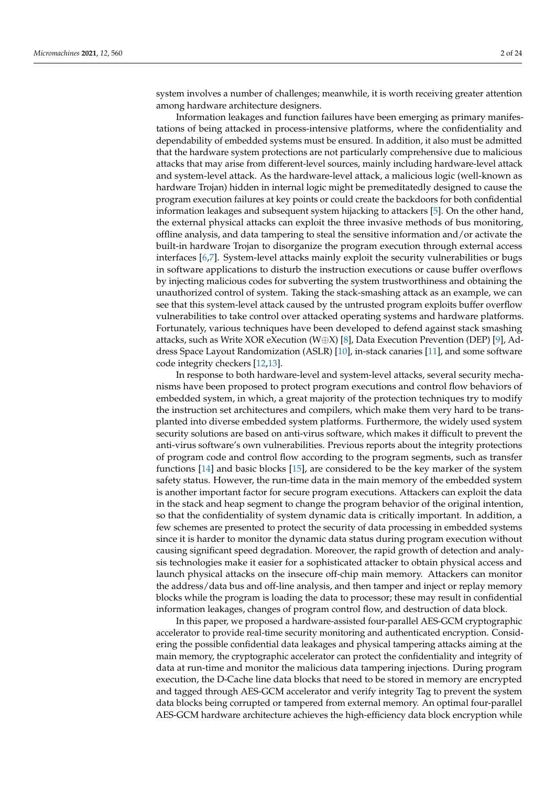system involves a number of challenges; meanwhile, it is worth receiving greater attention among hardware architecture designers.

Information leakages and function failures have been emerging as primary manifestations of being attacked in process-intensive platforms, where the confidentiality and dependability of embedded systems must be ensured. In addition, it also must be admitted that the hardware system protections are not particularly comprehensive due to malicious attacks that may arise from different-level sources, mainly including hardware-level attack and system-level attack. As the hardware-level attack, a malicious logic (well-known as hardware Trojan) hidden in internal logic might be premeditatedly designed to cause the program execution failures at key points or could create the backdoors for both confidential information leakages and subsequent system hijacking to attackers [\[5\]](#page-22-4). On the other hand, the external physical attacks can exploit the three invasive methods of bus monitoring, offline analysis, and data tampering to steal the sensitive information and/or activate the built-in hardware Trojan to disorganize the program execution through external access interfaces [\[6](#page-22-5)[,7\]](#page-22-6). System-level attacks mainly exploit the security vulnerabilities or bugs in software applications to disturb the instruction executions or cause buffer overflows by injecting malicious codes for subverting the system trustworthiness and obtaining the unauthorized control of system. Taking the stack-smashing attack as an example, we can see that this system-level attack caused by the untrusted program exploits buffer overflow vulnerabilities to take control over attacked operating systems and hardware platforms. Fortunately, various techniques have been developed to defend against stack smashing attacks, such as Write XOR eXecution (W⊕X) [\[8\]](#page-22-7), Data Execution Prevention (DEP) [\[9\]](#page-22-8), Address Space Layout Randomization (ASLR) [\[10\]](#page-22-9), in-stack canaries [\[11\]](#page-22-10), and some software code integrity checkers [\[12,](#page-22-11)[13\]](#page-22-12).

In response to both hardware-level and system-level attacks, several security mechanisms have been proposed to protect program executions and control flow behaviors of embedded system, in which, a great majority of the protection techniques try to modify the instruction set architectures and compilers, which make them very hard to be transplanted into diverse embedded system platforms. Furthermore, the widely used system security solutions are based on anti-virus software, which makes it difficult to prevent the anti-virus software's own vulnerabilities. Previous reports about the integrity protections of program code and control flow according to the program segments, such as transfer functions [\[14\]](#page-23-0) and basic blocks [\[15\]](#page-23-1), are considered to be the key marker of the system safety status. However, the run-time data in the main memory of the embedded system is another important factor for secure program executions. Attackers can exploit the data in the stack and heap segment to change the program behavior of the original intention, so that the confidentiality of system dynamic data is critically important. In addition, a few schemes are presented to protect the security of data processing in embedded systems since it is harder to monitor the dynamic data status during program execution without causing significant speed degradation. Moreover, the rapid growth of detection and analysis technologies make it easier for a sophisticated attacker to obtain physical access and launch physical attacks on the insecure off-chip main memory. Attackers can monitor the address/data bus and off-line analysis, and then tamper and inject or replay memory blocks while the program is loading the data to processor; these may result in confidential information leakages, changes of program control flow, and destruction of data block.

In this paper, we proposed a hardware-assisted four-parallel AES-GCM cryptographic accelerator to provide real-time security monitoring and authenticated encryption. Considering the possible confidential data leakages and physical tampering attacks aiming at the main memory, the cryptographic accelerator can protect the confidentiality and integrity of data at run-time and monitor the malicious data tampering injections. During program execution, the D-Cache line data blocks that need to be stored in memory are encrypted and tagged through AES-GCM accelerator and verify integrity Tag to prevent the system data blocks being corrupted or tampered from external memory. An optimal four-parallel AES-GCM hardware architecture achieves the high-efficiency data block encryption while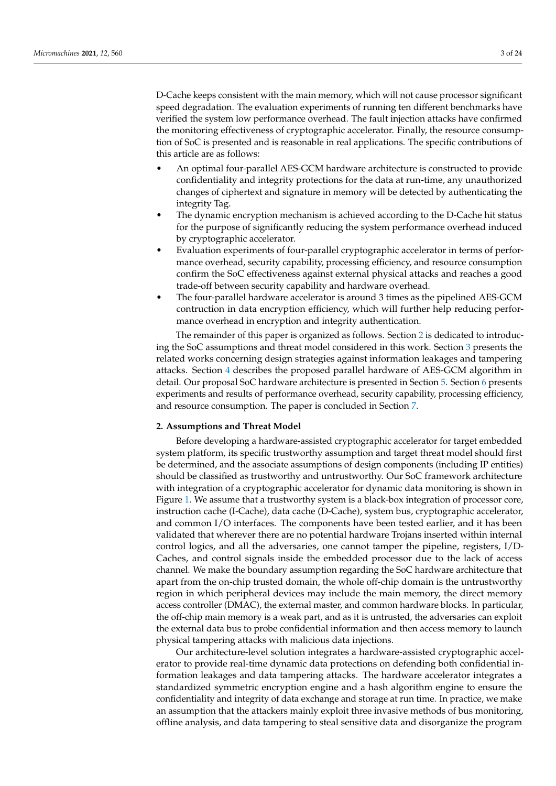D-Cache keeps consistent with the main memory, which will not cause processor significant speed degradation. The evaluation experiments of running ten different benchmarks have verified the system low performance overhead. The fault injection attacks have confirmed the monitoring effectiveness of cryptographic accelerator. Finally, the resource consumption of SoC is presented and is reasonable in real applications. The specific contributions of this article are as follows:

- An optimal four-parallel AES-GCM hardware architecture is constructed to provide confidentiality and integrity protections for the data at run-time, any unauthorized changes of ciphertext and signature in memory will be detected by authenticating the integrity Tag.
- The dynamic encryption mechanism is achieved according to the D-Cache hit status for the purpose of significantly reducing the system performance overhead induced by cryptographic accelerator.
- Evaluation experiments of four-parallel cryptographic accelerator in terms of performance overhead, security capability, processing efficiency, and resource consumption confirm the SoC effectiveness against external physical attacks and reaches a good trade-off between security capability and hardware overhead.
- The four-parallel hardware accelerator is around 3 times as the pipelined AES-GCM contruction in data encryption efficiency, which will further help reducing performance overhead in encryption and integrity authentication.

The remainder of this paper is organized as follows. Section [2](#page-2-0) is dedicated to introducing the SoC assumptions and threat model considered in this work. Section [3](#page-3-0) presents the related works concerning design strategies against information leakages and tampering attacks. Section [4](#page-6-0) describes the proposed parallel hardware of AES-GCM algorithm in detail. Our proposal SoC hardware architecture is presented in Section [5.](#page-11-0) Section [6](#page-17-0) presents experiments and results of performance overhead, security capability, processing efficiency, and resource consumption. The paper is concluded in Section [7.](#page-22-13)

# <span id="page-2-0"></span>**2. Assumptions and Threat Model**

Before developing a hardware-assisted cryptographic accelerator for target embedded system platform, its specific trustworthy assumption and target threat model should first be determined, and the associate assumptions of design components (including IP entities) should be classified as trustworthy and untrustworthy. Our SoC framework architecture with integration of a cryptographic accelerator for dynamic data monitoring is shown in Figure [1.](#page-3-1) We assume that a trustworthy system is a black-box integration of processor core, instruction cache (I-Cache), data cache (D-Cache), system bus, cryptographic accelerator, and common I/O interfaces. The components have been tested earlier, and it has been validated that wherever there are no potential hardware Trojans inserted within internal control logics, and all the adversaries, one cannot tamper the pipeline, registers, I/D-Caches, and control signals inside the embedded processor due to the lack of access channel. We make the boundary assumption regarding the SoC hardware architecture that apart from the on-chip trusted domain, the whole off-chip domain is the untrustworthy region in which peripheral devices may include the main memory, the direct memory access controller (DMAC), the external master, and common hardware blocks. In particular, the off-chip main memory is a weak part, and as it is untrusted, the adversaries can exploit the external data bus to probe confidential information and then access memory to launch physical tampering attacks with malicious data injections.

Our architecture-level solution integrates a hardware-assisted cryptographic accelerator to provide real-time dynamic data protections on defending both confidential information leakages and data tampering attacks. The hardware accelerator integrates a standardized symmetric encryption engine and a hash algorithm engine to ensure the confidentiality and integrity of data exchange and storage at run time. In practice, we make an assumption that the attackers mainly exploit three invasive methods of bus monitoring, offline analysis, and data tampering to steal sensitive data and disorganize the program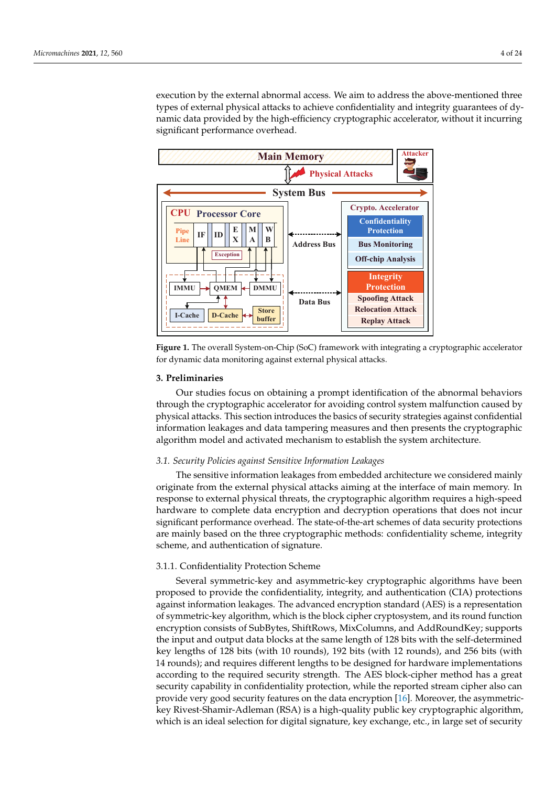execution by the external abnormal access. We aim to address the above-mentioned three types of external physical attacks to achieve confidentiality and integrity guarantees of dynamic data provided by the high-efficiency cryptographic accelerator, without it incurring significant performance overhead.

<span id="page-3-1"></span>



#### <span id="page-3-0"></span>**3. Preliminaries**

Our studies focus on obtaining a prompt identification of the abnormal behaviors through the cryptographic accelerator for avoiding control system malfunction caused by physical attacks. This section introduces the basics of security strategies against confidential information leakages and data tampering measures and then presents the cryptographic algorithm model and activated mechanism to establish the system architecture.

# *3.1. Security Policies against Sensitive Information Leakages*

The sensitive information leakages from embedded architecture we considered mainly originate from the external physical attacks aiming at the interface of main memory. In response to external physical threats, the cryptographic algorithm requires a high-speed hardware to complete data encryption and decryption operations that does not incur significant performance overhead. The state-of-the-art schemes of data security protections are mainly based on the three cryptographic methods: confidentiality scheme, integrity scheme, and authentication of signature.

# 3.1.1. Confidentiality Protection Scheme

Several symmetric-key and asymmetric-key cryptographic algorithms have been proposed to provide the confidentiality, integrity, and authentication (CIA) protections against information leakages. The advanced encryption standard (AES) is a representation of symmetric-key algorithm, which is the block cipher cryptosystem, and its round function encryption consists of SubBytes, ShiftRows, MixColumns, and AddRoundKey; supports the input and output data blocks at the same length of 128 bits with the self-determined key lengths of 128 bits (with 10 rounds), 192 bits (with 12 rounds), and 256 bits (with 14 rounds); and requires different lengths to be designed for hardware implementations according to the required security strength. The AES block-cipher method has a great security capability in confidentiality protection, while the reported stream cipher also can provide very good security features on the data encryption [\[16\]](#page-23-2). Moreover, the asymmetrickey Rivest-Shamir-Adleman (RSA) is a high-quality public key cryptographic algorithm, which is an ideal selection for digital signature, key exchange, etc., in large set of security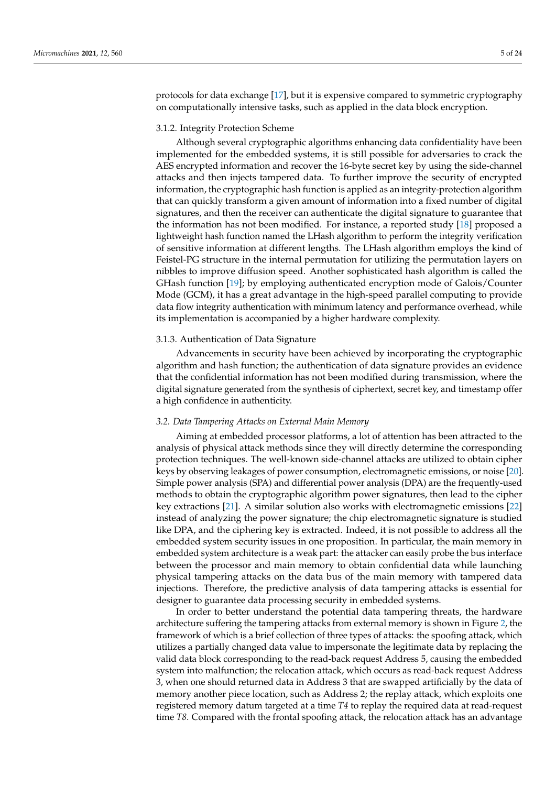protocols for data exchange [\[17\]](#page-23-3), but it is expensive compared to symmetric cryptography on computationally intensive tasks, such as applied in the data block encryption.

# 3.1.2. Integrity Protection Scheme

Although several cryptographic algorithms enhancing data confidentiality have been implemented for the embedded systems, it is still possible for adversaries to crack the AES encrypted information and recover the 16-byte secret key by using the side-channel attacks and then injects tampered data. To further improve the security of encrypted information, the cryptographic hash function is applied as an integrity-protection algorithm that can quickly transform a given amount of information into a fixed number of digital signatures, and then the receiver can authenticate the digital signature to guarantee that the information has not been modified. For instance, a reported study [\[18\]](#page-23-4) proposed a lightweight hash function named the LHash algorithm to perform the integrity verification of sensitive information at different lengths. The LHash algorithm employs the kind of Feistel-PG structure in the internal permutation for utilizing the permutation layers on nibbles to improve diffusion speed. Another sophisticated hash algorithm is called the GHash function [\[19\]](#page-23-5); by employing authenticated encryption mode of Galois/Counter Mode (GCM), it has a great advantage in the high-speed parallel computing to provide data flow integrity authentication with minimum latency and performance overhead, while its implementation is accompanied by a higher hardware complexity.

#### 3.1.3. Authentication of Data Signature

Advancements in security have been achieved by incorporating the cryptographic algorithm and hash function; the authentication of data signature provides an evidence that the confidential information has not been modified during transmission, where the digital signature generated from the synthesis of ciphertext, secret key, and timestamp offer a high confidence in authenticity.

## *3.2. Data Tampering Attacks on External Main Memory*

Aiming at embedded processor platforms, a lot of attention has been attracted to the analysis of physical attack methods since they will directly determine the corresponding protection techniques. The well-known side-channel attacks are utilized to obtain cipher keys by observing leakages of power consumption, electromagnetic emissions, or noise [\[20\]](#page-23-6). Simple power analysis (SPA) and differential power analysis (DPA) are the frequently-used methods to obtain the cryptographic algorithm power signatures, then lead to the cipher key extractions [\[21\]](#page-23-7). A similar solution also works with electromagnetic emissions [\[22\]](#page-23-8) instead of analyzing the power signature; the chip electromagnetic signature is studied like DPA, and the ciphering key is extracted. Indeed, it is not possible to address all the embedded system security issues in one proposition. In particular, the main memory in embedded system architecture is a weak part: the attacker can easily probe the bus interface between the processor and main memory to obtain confidential data while launching physical tampering attacks on the data bus of the main memory with tampered data injections. Therefore, the predictive analysis of data tampering attacks is essential for designer to guarantee data processing security in embedded systems.

In order to better understand the potential data tampering threats, the hardware architecture suffering the tampering attacks from external memory is shown in Figure [2,](#page-5-0) the framework of which is a brief collection of three types of attacks: the spoofing attack, which utilizes a partially changed data value to impersonate the legitimate data by replacing the valid data block corresponding to the read-back request Address 5, causing the embedded system into malfunction; the relocation attack, which occurs as read-back request Address 3, when one should returned data in Address 3 that are swapped artificially by the data of memory another piece location, such as Address 2; the replay attack, which exploits one registered memory datum targeted at a time *T4* to replay the required data at read-request time *T8*. Compared with the frontal spoofing attack, the relocation attack has an advantage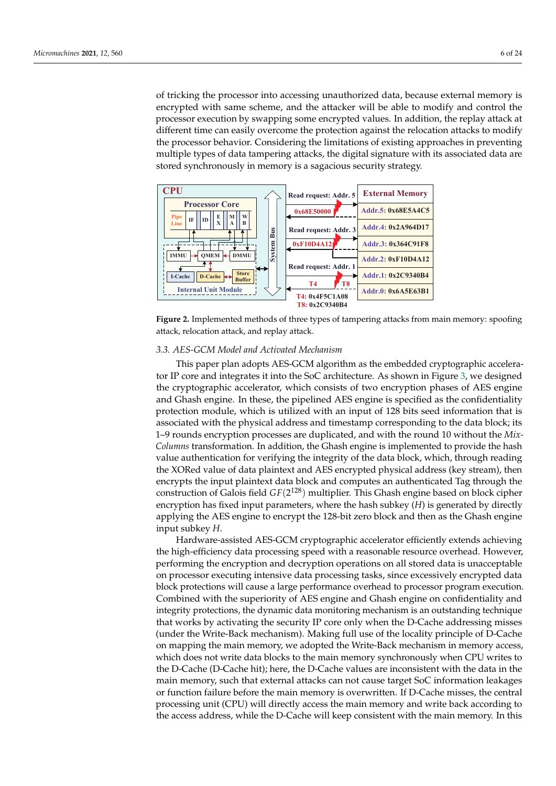of tricking the processor into accessing unauthorized data, because external memory is encrypted with same scheme, and the attacker will be able to modify and control the processor execution by swapping some encrypted values. In addition, the replay attack at different time can easily overcome the protection against the relocation attacks to modify the processor behavior. Considering the limitations of existing approaches in preventing multiple types of data tampering attacks, the digital signature with its associated data are stored synchronously in memory is a sagacious security strategy.

<span id="page-5-0"></span>

**Figure 2.** Implemented methods of three types of tampering attacks from main memory: spoofing attack, relocation attack, and replay attack.

#### *3.3. AES-GCM Model and Activated Mechanism*

This paper plan adopts AES-GCM algorithm as the embedded cryptographic accelerator IP core and integrates it into the SoC architecture. As shown in Figure [3,](#page-6-1) we designed the cryptographic accelerator, which consists of two encryption phases of AES engine and Ghash engine. In these, the pipelined AES engine is specified as the confidentiality protection module, which is utilized with an input of 128 bits seed information that is associated with the physical address and timestamp corresponding to the data block; its 1–9 rounds encryption processes are duplicated, and with the round 10 without the *Mix-Columns* transformation. In addition, the Ghash engine is implemented to provide the hash value authentication for verifying the integrity of the data block, which, through reading the XORed value of data plaintext and AES encrypted physical address (key stream), then encrypts the input plaintext data block and computes an authenticated Tag through the construction of Galois field *GF*(2 <sup>128</sup>) multiplier. This Ghash engine based on block cipher encryption has fixed input parameters, where the hash subkey (*H*) is generated by directly applying the AES engine to encrypt the 128-bit zero block and then as the Ghash engine input subkey *H*.

Hardware-assisted AES-GCM cryptographic accelerator efficiently extends achieving the high-efficiency data processing speed with a reasonable resource overhead. However, performing the encryption and decryption operations on all stored data is unacceptable on processor executing intensive data processing tasks, since excessively encrypted data block protections will cause a large performance overhead to processor program execution. Combined with the superiority of AES engine and Ghash engine on confidentiality and integrity protections, the dynamic data monitoring mechanism is an outstanding technique that works by activating the security IP core only when the D-Cache addressing misses (under the Write-Back mechanism). Making full use of the locality principle of D-Cache on mapping the main memory, we adopted the Write-Back mechanism in memory access, which does not write data blocks to the main memory synchronously when CPU writes to the D-Cache (D-Cache hit); here, the D-Cache values are inconsistent with the data in the main memory, such that external attacks can not cause target SoC information leakages or function failure before the main memory is overwritten. If D-Cache misses, the central processing unit (CPU) will directly access the main memory and write back according to the access address, while the D-Cache will keep consistent with the main memory. In this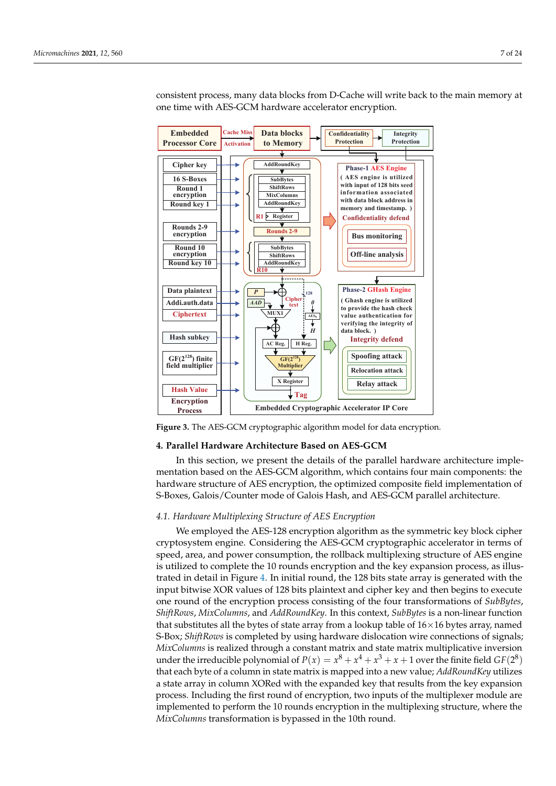consistent process, many data blocks from D-Cache will write back to the main memory at one time with AES-GCM hardware accelerator encryption.

<span id="page-6-1"></span>

**Figure 3.** The AES-GCM cryptographic algorithm model for data encryption.

#### <span id="page-6-0"></span>**4. Parallel Hardware Architecture Based on AES-GCM**

In this section, we present the details of the parallel hardware architecture implementation based on the AES-GCM algorithm, which contains four main components: the hardware structure of AES encryption, the optimized composite field implementation of S-Boxes, Galois/Counter mode of Galois Hash, and AES-GCM parallel architecture.

# <span id="page-6-2"></span>*4.1. Hardware Multiplexing Structure of AES Encryption*

We employed the AES-128 encryption algorithm as the symmetric key block cipher cryptosystem engine. Considering the AES-GCM cryptographic accelerator in terms of speed, area, and power consumption, the rollback multiplexing structure of AES engine is utilized to complete the 10 rounds encryption and the key expansion process, as illustrated in detail in Figure [4.](#page-7-0) In initial round, the 128 bits state array is generated with the input bitwise XOR values of 128 bits plaintext and cipher key and then begins to execute one round of the encryption process consisting of the four transformations of *SubBytes*, *ShiftRows*, *MixColumns*, and *AddRoundKey*. In this context, *SubBytes* is a non-linear function that substitutes all the bytes of state array from a lookup table of  $16\times16$  bytes array, named S-Box; *ShiftRows* is completed by using hardware dislocation wire connections of signals; *MixColumns* is realized through a constant matrix and state matrix multiplicative inversion under the irreducible polynomial of  $P(x) = x^8 + x^4 + x^3 + x + 1$  over the finite field  $GF(2^8)$ that each byte of a column in state matrix is mapped into a new value; *AddRoundKey* utilizes a state array in column XORed with the expanded key that results from the key expansion process. Including the first round of encryption, two inputs of the multiplexer module are implemented to perform the 10 rounds encryption in the multiplexing structure, where the *MixColumns* transformation is bypassed in the 10th round.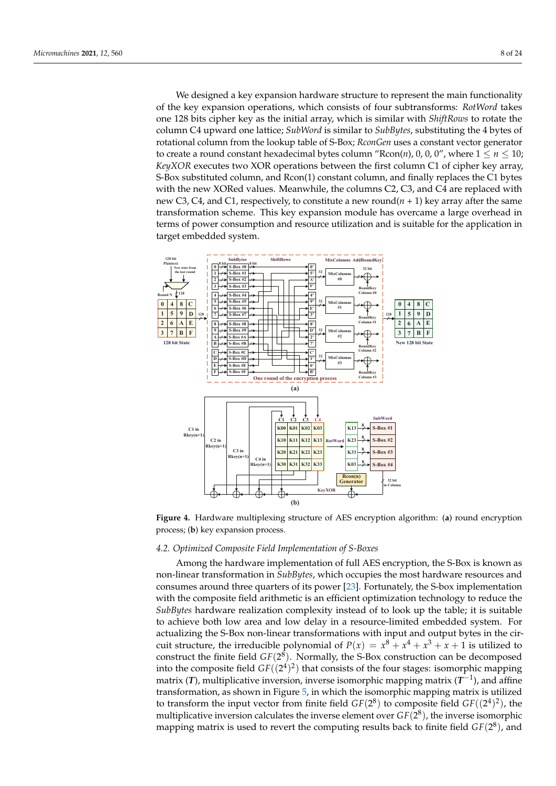We designed a key expansion hardware structure to represent the main functionality of the key expansion operations, which consists of four subtransforms: *RotWord* takes one 128 bits cipher key as the initial array, which is similar with *ShiftRows* to rotate the column C4 upward one lattice; *SubWord* is similar to *SubBytes*, substituting the 4 bytes of rotational column from the lookup table of S-Box; *RconGen* uses a constant vector generator to create a round constant hexadecimal bytes column " $Rcon(n)$ , 0, 0, 0", where  $1 \le n \le 10$ ; *KeyXOR* executes two XOR operations between the first column C1 of cipher key array, S-Box substituted column, and Rcon(1) constant column, and finally replaces the C1 bytes with the new XORed values. Meanwhile, the columns C2, C3, and C4 are replaced with new C3, C4, and C1, respectively, to constitute a new round $(n + 1)$  key array after the same transformation scheme. This key expansion module has overcame a large overhead in terms of power consumption and resource utilization and is suitable for the application in target embedded system.

<span id="page-7-0"></span>

**Figure 4.** Hardware multiplexing structure of AES encryption algorithm: (**a**) round encryption process; (**b**) key expansion process.

# *4.2. Optimized Composite Field Implementation of S-Boxes*

Among the hardware implementation of full AES encryption, the S-Box is known as non-linear transformation in *SubBytes*, which occupies the most hardware resources and consumes around three quarters of its power [\[23\]](#page-23-9). Fortunately, the S-box implementation with the composite field arithmetic is an efficient optimization technology to reduce the *SubBytes* hardware realization complexity instead of to look up the table; it is suitable to achieve both low area and low delay in a resource-limited embedded system. For actualizing the S-Box non-linear transformations with input and output bytes in the circuit structure, the irreducible polynomial of  $P(x) = x^8 + x^4 + x^3 + x + 1$  is utilized to construct the finite field *GF*(2 8 ). Normally, the S-Box construction can be decomposed into the composite field  $GF((2^4)^2)$  that consists of the four stages: isomorphic mapping matrix (*T*), multiplicative inversion, inverse isomorphic mapping matrix (*T*<sup>−1</sup>), and affine transformation, as shown in Figure [5,](#page-8-0) in which the isomorphic mapping matrix is utilized to transform the input vector from finite field  $GF(2^8)$  to composite field  $GF((2^4)^2)$ , the multiplicative inversion calculates the inverse element over  $GF(2^8)$ , the inverse isomorphic mapping matrix is used to revert the computing results back to finite field  $GF(2^8)$ , and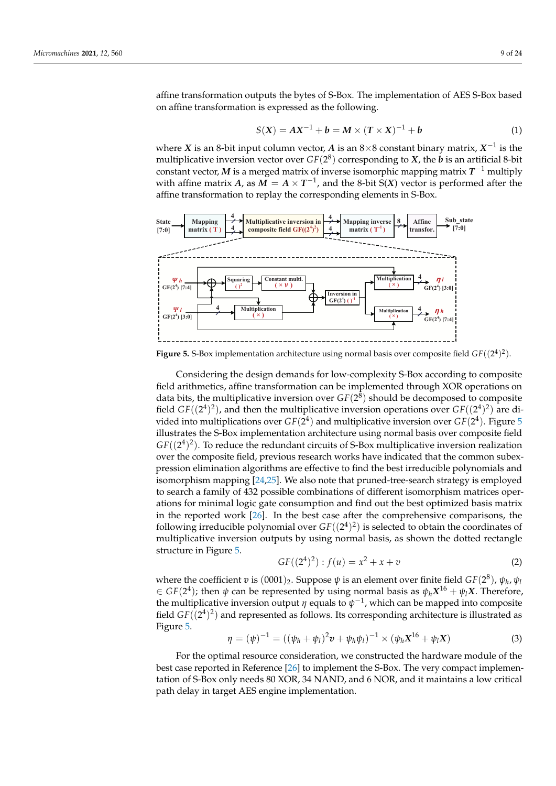affine transformation outputs the bytes of S-Box. The implementation of AES S-Box based on affine transformation is expressed as the following.

$$
S(X) = AX^{-1} + b = M \times (T \times X)^{-1} + b
$$
 (1)

where *X* is an 8-bit input column vector, *A* is an 8×8 constant binary matrix,  $X^{-1}$  is the multiplicative inversion vector over  $GF(2^8)$  corresponding to  $X$ , the  $b$  is an artificial 8-bit constant vector, *M* is a merged matrix of inverse isomorphic mapping matrix *T* <sup>−</sup><sup>1</sup> multiply with affine matrix *A*, as  $\overline{M} = A \times T^{-1}$ , and the 8-bit  $\overline{S}(X)$  vector is performed after the affine transformation to replay the corresponding elements in S-Box.

<span id="page-8-0"></span>

**Figure 5.** S-Box implementation architecture using normal basis over composite field  $GF((2^4)^2)$ .

Considering the design demands for low-complexity S-Box according to composite field arithmetics, affine transformation can be implemented through XOR operations on data bits, the multiplicative inversion over  $GF(2^8)$  should be decomposed to composite field  $GF((2^4)^2)$ , and then the multiplicative inversion operations over  $GF((2^4)^2)$  are divided into multiplications over  $GF(2^4)$  and multiplicative inversion over  $GF(2^4)$ . Figure [5](#page-8-0) illustrates the S-Box implementation architecture using normal basis over composite field  $GF((2^4)^2)$ . To reduce the redundant circuits of S-Box multiplicative inversion realization over the composite field, previous research works have indicated that the common subexpression elimination algorithms are effective to find the best irreducible polynomials and isomorphism mapping [\[24](#page-23-10)[,25\]](#page-23-11). We also note that pruned-tree-search strategy is employed to search a family of 432 possible combinations of different isomorphism matrices operations for minimal logic gate consumption and find out the best optimized basis matrix in the reported work [\[26\]](#page-23-12). In the best case after the comprehensive comparisons, the following irreducible polynomial over  $GF((2^4)^2)$  is selected to obtain the coordinates of multiplicative inversion outputs by using normal basis, as shown the dotted rectangle structure in Figure [5.](#page-8-0)

$$
GF((24)2) : f(u) = x2 + x + v
$$
 (2)

where the coefficient  $v$  is  $(0001)_2$ . Suppose  $\psi$  is an element over finite field *GF*(2<sup>8</sup>),  $\psi_h$ ,  $\psi_l$  $\leq$  *GF*(2<sup>4</sup>); then  $\psi$  can be represented by using normal basis as  $\psi_h X^{16} + \psi_l X$ . Therefore, the multiplicative inversion output  $\eta$  equals to  $\psi^{-1}$ , which can be mapped into composite field  $GF((2^4)^2)$  and represented as follows. Its corresponding architecture is illustrated as Figure [5.](#page-8-0)

$$
\eta = (\psi)^{-1} = ((\psi_h + \psi_l)^2 \mathbf{v} + \psi_h \psi_l)^{-1} \times (\psi_h \mathbf{X}^{16} + \psi_l \mathbf{X})
$$
\n(3)

For the optimal resource consideration, we constructed the hardware module of the best case reported in Reference [\[26\]](#page-23-12) to implement the S-Box. The very compact implementation of S-Box only needs 80 XOR, 34 NAND, and 6 NOR, and it maintains a low critical path delay in target AES engine implementation.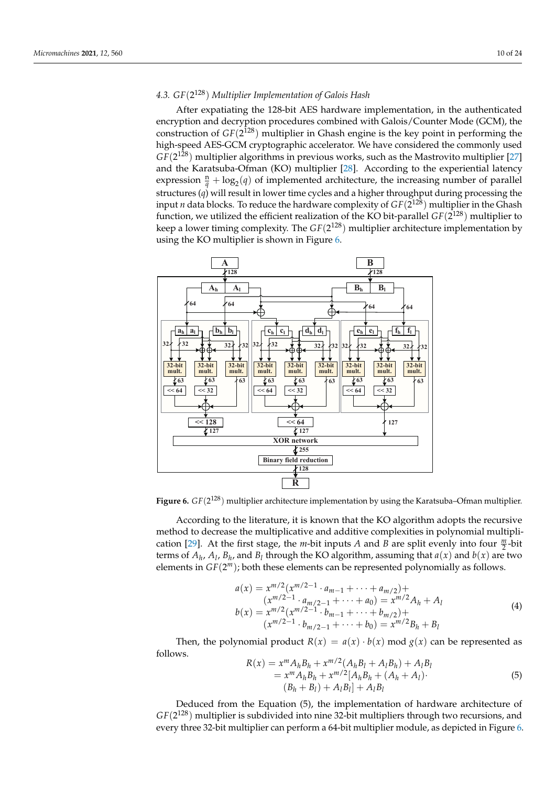# *4.3. GF*(2 <sup>128</sup>) *Multiplier Implementation of Galois Hash*

After expatiating the 128-bit AES hardware implementation, in the authenticated encryption and decryption procedures combined with Galois/Counter Mode (GCM), the construction of *GF*(2 <sup>128</sup>) multiplier in Ghash engine is the key point in performing the high-speed AES-GCM cryptographic accelerator. We have considered the commonly used *GF*(2 <sup>128</sup>) multiplier algorithms in previous works, such as the Mastrovito multiplier [\[27\]](#page-23-13) and the Karatsuba-Ofman (KO) multiplier [\[28\]](#page-23-14). According to the experiential latency expression  $\frac{n}{q} + \log_2(q)$  of implemented architecture, the increasing number of parallel structures  $(q)$  will result in lower time cycles and a higher throughput during processing the input *n* data blocks. To reduce the hardware complexity of *GF*(2 <sup>128</sup>) multiplier in the Ghash function, we utilized the efficient realization of the KO bit-parallel *GF*(2 <sup>128</sup>) multiplier to keep a lower timing complexity. The *GF*(2 <sup>128</sup>) multiplier architecture implementation by using the KO multiplier is shown in Figure [6.](#page-9-0)

<span id="page-9-0"></span>

**Figure 6.** *GF*(2 <sup>128</sup>) multiplier architecture implementation by using the Karatsuba–Ofman multiplier.

According to the literature, it is known that the KO algorithm adopts the recursive method to decrease the multiplicative and additive complexities in polynomial multipli-cation [\[29\]](#page-23-15). At the first stage, the *m*-bit inputs *A* and *B* are split evenly into four  $\frac{m}{2}$ -bit terms of  $A_h$ ,  $A_l$ ,  $B_h$ , and  $B_l$  through the KO algorithm, assuming that  $a(x)$  and  $b(x)$  are two elements in *GF*(2 *<sup>m</sup>*); both these elements can be represented polynomially as follows.

$$
a(x) = x^{m/2} (x^{m/2-1} \cdot a_{m-1} + \dots + a_{m/2}) +
$$
  
\n
$$
(x^{m/2-1} \cdot a_{m/2-1} + \dots + a_0) = x^{m/2} A_h + A_l
$$
  
\n
$$
b(x) = x^{m/2} (x^{m/2-1} \cdot b_{m-1} + \dots + b_{m/2}) +
$$
  
\n
$$
(x^{m/2-1} \cdot b_{m/2-1} + \dots + b_0) = x^{m/2} B_h + B_l
$$
 (4)

Then, the polynomial product  $R(x) = a(x) \cdot b(x) \mod g(x)$  can be represented as follows.

$$
R(x) = x^{m} A_{h} B_{h} + x^{m/2} (A_{h} B_{l} + A_{l} B_{h}) + A_{l} B_{l}
$$
  
=  $x^{m} A_{h} B_{h} + x^{m/2} [A_{h} B_{h} + (A_{h} + A_{l}) \cdot$   
 $(B_{h} + B_{l}) + A_{l} B_{l}] + A_{l} B_{l}$  (5)

Deduced from the Equation (5), the implementation of hardware architecture of *GF*(2 <sup>128</sup>) multiplier is subdivided into nine 32-bit multipliers through two recursions, and every three 32-bit multiplier can perform a 64-bit multiplier module, as depicted in Figure [6.](#page-9-0)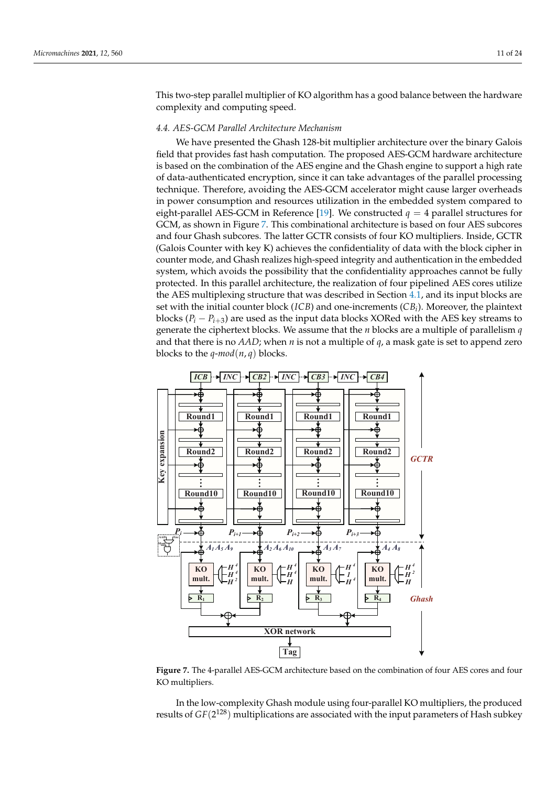This two-step parallel multiplier of KO algorithm has a good balance between the hardware complexity and computing speed.

#### *4.4. AES-GCM Parallel Architecture Mechanism*

We have presented the Ghash 128-bit multiplier architecture over the binary Galois field that provides fast hash computation. The proposed AES-GCM hardware architecture is based on the combination of the AES engine and the Ghash engine to support a high rate of data-authenticated encryption, since it can take advantages of the parallel processing technique. Therefore, avoiding the AES-GCM accelerator might cause larger overheads in power consumption and resources utilization in the embedded system compared to eight-parallel AES-GCM in Reference [\[19\]](#page-23-5). We constructed  $q = 4$  parallel structures for GCM, as shown in Figure [7.](#page-10-0) This combinational architecture is based on four AES subcores and four Ghash subcores. The latter GCTR consists of four KO multipliers. Inside, GCTR (Galois Counter with key K) achieves the confidentiality of data with the block cipher in counter mode, and Ghash realizes high-speed integrity and authentication in the embedded system, which avoids the possibility that the confidentiality approaches cannot be fully protected. In this parallel architecture, the realization of four pipelined AES cores utilize the AES multiplexing structure that was described in Section [4.1,](#page-6-2) and its input blocks are set with the initial counter block (*ICB*) and one-increments (*CB<sup>i</sup>* ). Moreover, the plaintext blocks (*P<sup>i</sup>* − *Pi*+<sup>3</sup> ) are used as the input data blocks XORed with the AES key streams to generate the ciphertext blocks. We assume that the *n* blocks are a multiple of parallelism *q* and that there is no *AAD*; when *n* is not a multiple of *q*, a mask gate is set to append zero blocks to the  $q$ - $mod(n, q)$  blocks.

<span id="page-10-0"></span>

**Figure 7.** The 4-parallel AES-GCM architecture based on the combination of four AES cores and four KO multipliers.

In the low-complexity Ghash module using four-parallel KO multipliers, the produced results of  $GF(2^{128})$  multiplications are associated with the input parameters of Hash subkey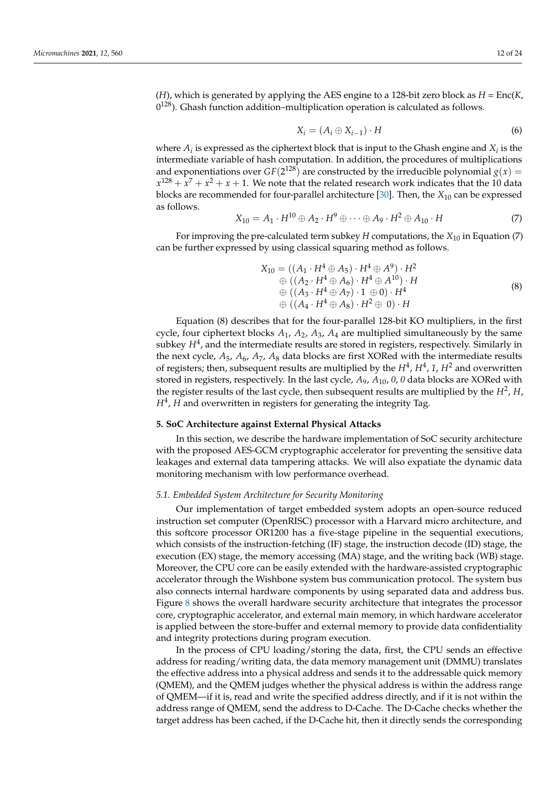(*H*), which is generated by applying the AES engine to a 128-bit zero block as *H* = Enc(*K*,  $0^{128}$ ). Ghash function addition–multiplication operation is calculated as follows.

$$
X_i = (A_i \oplus X_{i-1}) \cdot H \tag{6}
$$

where  $A_i$  is expressed as the ciphertext block that is input to the Ghash engine and  $X_i$  is the intermediate variable of hash computation. In addition, the procedures of multiplications and exponentiations over  $GF(2^{128})$  are constructed by the irreducible polynomial  $g(x)$  =  $x^{128} + x^7 + x^2 + x + 1$ . We note that the related research work indicates that the 10 data blocks are recommended for four-parallel architecture [\[30\]](#page-23-16). Then, the *X*<sup>10</sup> can be expressed as follows.

$$
X_{10} = A_1 \cdot H^{10} \oplus A_2 \cdot H^9 \oplus \cdots \oplus A_9 \cdot H^2 \oplus A_{10} \cdot H \tag{7}
$$

For improving the pre-calculated term subkey *H* computations, the *X*<sup>10</sup> in Equation (7) can be further expressed by using classical squaring method as follows.

$$
X_{10} = ((A_1 \cdot H^4 \oplus A_5) \cdot H^4 \oplus A^9) \cdot H^2 \n\oplus ((A_2 \cdot H^4 \oplus A_6) \cdot H^4 \oplus A^{10}) \cdot H \n\oplus ((A_3 \cdot H^4 \oplus A_7) \cdot 1 \oplus 0) \cdot H^4 \n\oplus ((A_4 \cdot H^4 \oplus A_8) \cdot H^2 \oplus 0) \cdot H
$$
\n(8)

Equation (8) describes that for the four-parallel 128-bit KO multipliers, in the first cycle, four ciphertext blocks  $A_1$ ,  $A_2$ ,  $A_3$ ,  $A_4$  are multiplied simultaneously by the same subkey  $H^4$ , and the intermediate results are stored in registers, respectively. Similarly in the next cycle, *A*5, *A*6, *A*7, *A*<sup>8</sup> data blocks are first XORed with the intermediate results of registers; then, subsequent results are multiplied by the  $H^4$ ,  $H^4$ , 1,  $H^2$  and overwritten stored in registers, respectively. In the last cycle, *A*9, *A*10, *0*, *0* data blocks are XORed with the register results of the last cycle, then subsequent results are multiplied by the  $H^2$ ,  $H$ , *H*<sup>4</sup> , *H* and overwritten in registers for generating the integrity Tag.

## <span id="page-11-0"></span>**5. SoC Architecture against External Physical Attacks**

In this section, we describe the hardware implementation of SoC security architecture with the proposed AES-GCM cryptographic accelerator for preventing the sensitive data leakages and external data tampering attacks. We will also expatiate the dynamic data monitoring mechanism with low performance overhead.

## *5.1. Embedded System Architecture for Security Monitoring*

Our implementation of target embedded system adopts an open-source reduced instruction set computer (OpenRISC) processor with a Harvard micro architecture, and this softcore processor OR1200 has a five-stage pipeline in the sequential executions, which consists of the instruction-fetching (IF) stage, the instruction decode (ID) stage, the execution (EX) stage, the memory accessing (MA) stage, and the writing back (WB) stage. Moreover, the CPU core can be easily extended with the hardware-assisted cryptographic accelerator through the Wishbone system bus communication protocol. The system bus also connects internal hardware components by using separated data and address bus. Figure [8](#page-12-0) shows the overall hardware security architecture that integrates the processor core, cryptographic accelerator, and external main memory, in which hardware accelerator is applied between the store-buffer and external memory to provide data confidentiality and integrity protections during program execution.

In the process of CPU loading/storing the data, first, the CPU sends an effective address for reading/writing data, the data memory management unit (DMMU) translates the effective address into a physical address and sends it to the addressable quick memory (QMEM), and the QMEM judges whether the physical address is within the address range of QMEM—if it is, read and write the specified address directly, and if it is not within the address range of QMEM, send the address to D-Cache. The D-Cache checks whether the target address has been cached, if the D-Cache hit, then it directly sends the corresponding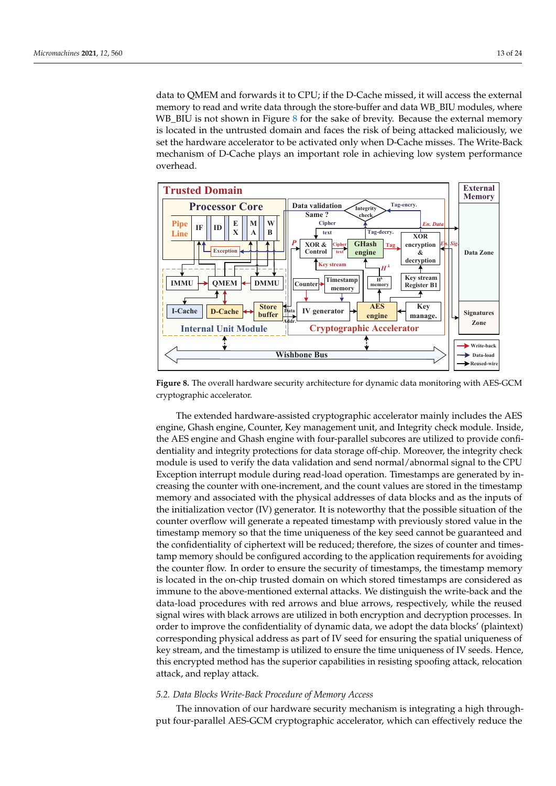data to QMEM and forwards it to CPU; if the D-Cache missed, it will access the external memory to read and write data through the store-buffer and data WB\_BIU modules, where WB\_BIU is not shown in Figure [8](#page-12-0) for the sake of brevity. Because the external memory is located in the untrusted domain and faces the risk of being attacked maliciously, we set the hardware accelerator to be activated only when D-Cache misses. The Write-Back mechanism of D-Cache plays an important role in achieving low system performance overhead.

<span id="page-12-0"></span>

**Figure 8.** The overall hardware security architecture for dynamic data monitoring with AES-GCM cryptographic accelerator.

The extended hardware-assisted cryptographic accelerator mainly includes the AES engine, Ghash engine, Counter, Key management unit, and Integrity check module. Inside, the AES engine and Ghash engine with four-parallel subcores are utilized to provide confidentiality and integrity protections for data storage off-chip. Moreover, the integrity check module is used to verify the data validation and send normal/abnormal signal to the CPU Exception interrupt module during read-load operation. Timestamps are generated by increasing the counter with one-increment, and the count values are stored in the timestamp memory and associated with the physical addresses of data blocks and as the inputs of the initialization vector (IV) generator. It is noteworthy that the possible situation of the counter overflow will generate a repeated timestamp with previously stored value in the timestamp memory so that the time uniqueness of the key seed cannot be guaranteed and the confidentiality of ciphertext will be reduced; therefore, the sizes of counter and timestamp memory should be configured according to the application requirements for avoiding the counter flow. In order to ensure the security of timestamps, the timestamp memory is located in the on-chip trusted domain on which stored timestamps are considered as immune to the above-mentioned external attacks. We distinguish the write-back and the data-load procedures with red arrows and blue arrows, respectively, while the reused signal wires with black arrows are utilized in both encryption and decryption processes. In order to improve the confidentiality of dynamic data, we adopt the data blocks' (plaintext) corresponding physical address as part of IV seed for ensuring the spatial uniqueness of key stream, and the timestamp is utilized to ensure the time uniqueness of IV seeds. Hence, this encrypted method has the superior capabilities in resisting spoofing attack, relocation attack, and replay attack.

#### *5.2. Data Blocks Write-Back Procedure of Memory Access*

The innovation of our hardware security mechanism is integrating a high throughput four-parallel AES-GCM cryptographic accelerator, which can effectively reduce the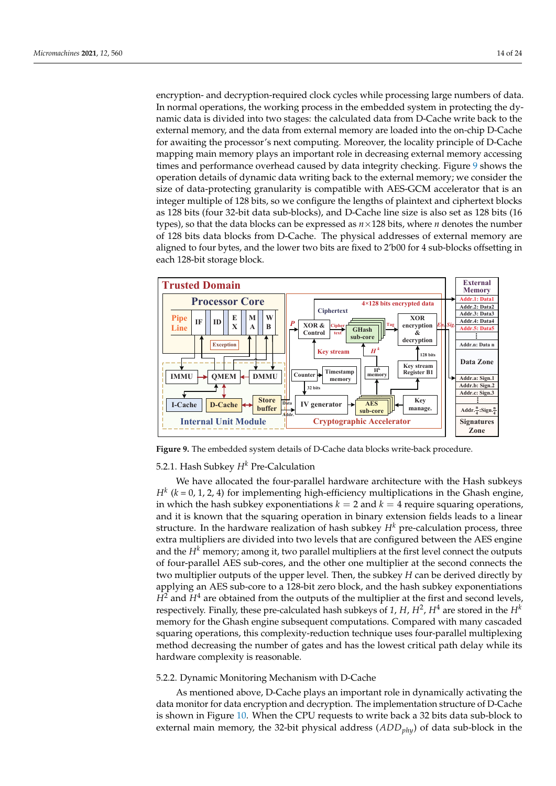encryption- and decryption-required clock cycles while processing large numbers of data. In normal operations, the working process in the embedded system in protecting the dynamic data is divided into two stages: the calculated data from D-Cache write back to the external memory, and the data from external memory are loaded into the on-chip D-Cache for awaiting the processor's next computing. Moreover, the locality principle of D-Cache mapping main memory plays an important role in decreasing external memory accessing times and performance overhead caused by data integrity checking. Figure [9](#page-13-0) shows the operation details of dynamic data writing back to the external memory; we consider the size of data-protecting granularity is compatible with AES-GCM accelerator that is an integer multiple of 128 bits, so we configure the lengths of plaintext and ciphertext blocks as 128 bits (four 32-bit data sub-blocks), and D-Cache line size is also set as 128 bits (16 types), so that the data blocks can be expressed as *n*×128 bits, where *n* denotes the number of 128 bits data blocks from D-Cache. The physical addresses of external memory are aligned to four bytes, and the lower two bits are fixed to 2'b00 for 4 sub-blocks offsetting in each 128-bit storage block.

<span id="page-13-0"></span>

**Figure 9.** The embedded system details of D-Cache data blocks write-back procedure.

# 5.2.1. Hash Subkey *H<sup>k</sup>* Pre-Calculation

We have allocated the four-parallel hardware architecture with the Hash subkeys  $H^k$  ( $k$  = 0, 1, 2, 4) for implementing high-efficiency multiplications in the Ghash engine, in which the hash subkey exponentiations  $k = 2$  and  $k = 4$  require squaring operations, and it is known that the squaring operation in binary extension fields leads to a linear structure. In the hardware realization of hash subkey  $H<sup>k</sup>$  pre-calculation process, three extra multipliers are divided into two levels that are configured between the AES engine and the  $H<sup>k</sup>$  memory; among it, two parallel multipliers at the first level connect the outputs of four-parallel AES sub-cores, and the other one multiplier at the second connects the two multiplier outputs of the upper level. Then, the subkey *H* can be derived directly by applying an AES sub-core to a 128-bit zero block, and the hash subkey exponentiations  $H^2$  and  $H^4$  are obtained from the outputs of the multiplier at the first and second levels, respectively. Finally, these pre-calculated hash subkeys of 1, H,  $H^2$ ,  $H^4$  are stored in the  $H^k$ memory for the Ghash engine subsequent computations. Compared with many cascaded squaring operations, this complexity-reduction technique uses four-parallel multiplexing method decreasing the number of gates and has the lowest critical path delay while its hardware complexity is reasonable.

# 5.2.2. Dynamic Monitoring Mechanism with D-Cache

As mentioned above, D-Cache plays an important role in dynamically activating the data monitor for data encryption and decryption. The implementation structure of D-Cache is shown in Figure [10.](#page-14-0) When the CPU requests to write back a 32 bits data sub-block to external main memory, the 32-bit physical address (*ADDphy*) of data sub-block in the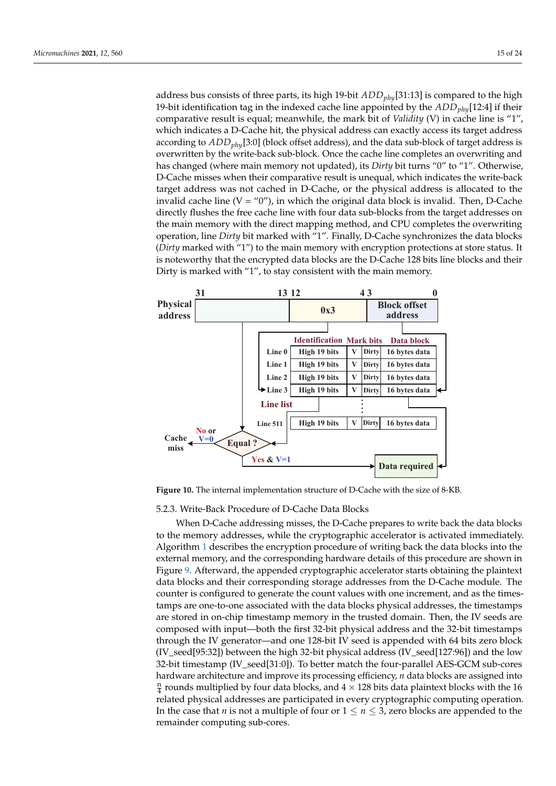address bus consists of three parts, its high 19-bit *ADDphy*[31:13] is compared to the high 19-bit identification tag in the indexed cache line appointed by the *ADDphy*[12:4] if their comparative result is equal; meanwhile, the mark bit of *Validity* (V) in cache line is "1", which indicates a D-Cache hit, the physical address can exactly access its target address according to *ADDphy*[3:0] (block offset address), and the data sub-block of target address is overwritten by the write-back sub-block. Once the cache line completes an overwriting and has changed (where main memory not updated), its *Dirty* bit turns "0" to "1". Otherwise, D-Cache misses when their comparative result is unequal, which indicates the write-back target address was not cached in D-Cache, or the physical address is allocated to the invalid cache line  $(V = "0")$ , in which the original data block is invalid. Then, D-Cache directly flushes the free cache line with four data sub-blocks from the target addresses on the main memory with the direct mapping method, and CPU completes the overwriting operation, line *Dirty* bit marked with "1". Finally, D-Cache synchronizes the data blocks (*Dirty* marked with "1") to the main memory with encryption protections at store status. It is noteworthy that the encrypted data blocks are the D-Cache 128 bits line blocks and their Dirty is marked with "1", to stay consistent with the main memory.

<span id="page-14-0"></span>

**Figure 10.** The internal implementation structure of D-Cache with the size of 8-KB.

5.2.3. Write-Back Procedure of D-Cache Data Blocks

When D-Cache addressing misses, the D-Cache prepares to write back the data blocks to the memory addresses, while the cryptographic accelerator is activated immediately. Algorithm [1](#page-15-0) describes the encryption procedure of writing back the data blocks into the external memory, and the corresponding hardware details of this procedure are shown in Figure [9.](#page-13-0) Afterward, the appended cryptographic accelerator starts obtaining the plaintext data blocks and their corresponding storage addresses from the D-Cache module. The counter is configured to generate the count values with one increment, and as the timestamps are one-to-one associated with the data blocks physical addresses, the timestamps are stored in on-chip timestamp memory in the trusted domain. Then, the IV seeds are composed with input—both the first 32-bit physical address and the 32-bit timestamps through the IV generator—and one 128-bit IV seed is appended with 64 bits zero block (IV\_seed[95:32]) between the high 32-bit physical address (IV\_seed[127:96]) and the low 32-bit timestamp (IV\_seed[31:0]). To better match the four-parallel AES-GCM sub-cores hardware architecture and improve its processing efficiency, *n* data blocks are assigned into  $\frac{n}{4}$  rounds multiplied by four data blocks, and  $4\times128$  bits data plaintext blocks with the 16 related physical addresses are participated in every cryptographic computing operation. In the case that *n* is not a multiple of four or  $1 \le n \le 3$ , zero blocks are appended to the remainder computing sub-cores.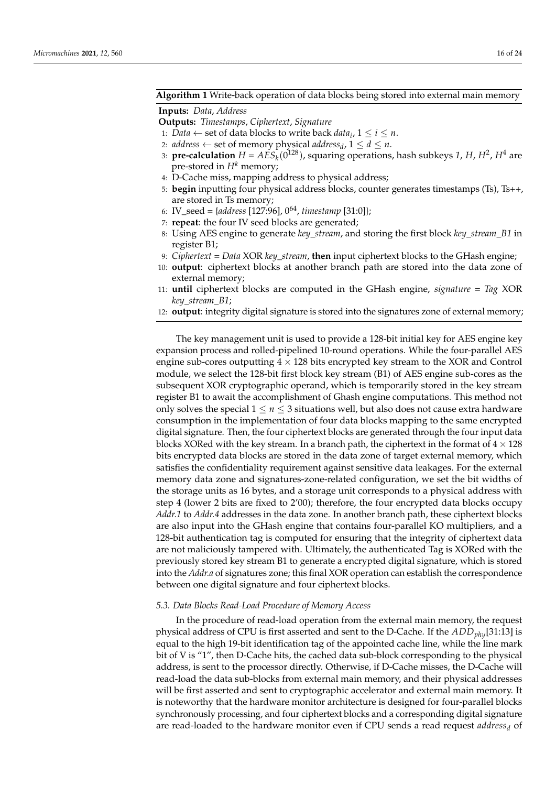# <span id="page-15-0"></span>**Algorithm 1** Write-back operation of data blocks being stored into external main memory

#### **Inputs:** *Data*, *Address*

**Outputs:** *Timestamps*, *Ciphertext*, *Signature*

- 1: *Data*  $\leftarrow$  set of data blocks to write back *data*<sub>*i*</sub>,  $1 \le i \le n$ .
- 2: *address*  $\leftarrow$  set of memory physical *address<sub>d</sub>*,  $1 \le d \le n$ .
- 3: **pre-calculation**  $H = AES_k(0^{128})$ , squaring operations, hash subkeys 1, H, H<sup>2</sup>, H<sup>4</sup> are pre-stored in  $H^k$  memory;
- 4: D-Cache miss, mapping address to physical address;
- 5: **begin** inputting four physical address blocks, counter generates timestamps (Ts), Ts++, are stored in Ts memory;
- 6: IV\_seed = {*address* [127:96], 0<sup>64</sup> , *timestamp* [31:0]};
- 7: **repeat**: the four IV seed blocks are generated;
- 8: Using AES engine to generate *key\_stream*, and storing the first block *key\_stream\_B1* in register B1;
- 9: *Ciphertext* = *Data* XOR *key\_stream*, **then** input ciphertext blocks to the GHash engine;
- 10: **output**: ciphertext blocks at another branch path are stored into the data zone of external memory;
- 11: **until** ciphertext blocks are computed in the GHash engine, *signature* = *Tag* XOR *key\_stream\_B1*;
- 12: **output**: integrity digital signature is stored into the signatures zone of external memory;

The key management unit is used to provide a 128-bit initial key for AES engine key expansion process and rolled-pipelined 10-round operations. While the four-parallel AES engine sub-cores outputting  $4 \times 128$  bits encrypted key stream to the XOR and Control module, we select the 128-bit first block key stream (B1) of AES engine sub-cores as the subsequent XOR cryptographic operand, which is temporarily stored in the key stream register B1 to await the accomplishment of Ghash engine computations. This method not only solves the special  $1 \leq n \leq 3$  situations well, but also does not cause extra hardware consumption in the implementation of four data blocks mapping to the same encrypted digital signature. Then, the four ciphertext blocks are generated through the four input data blocks XORed with the key stream. In a branch path, the ciphertext in the format of  $4 \times 128$ bits encrypted data blocks are stored in the data zone of target external memory, which satisfies the confidentiality requirement against sensitive data leakages. For the external memory data zone and signatures-zone-related configuration, we set the bit widths of the storage units as 16 bytes, and a storage unit corresponds to a physical address with step 4 (lower 2 bits are fixed to 2'00); therefore, the four encrypted data blocks occupy *Addr.1* to *Addr.4* addresses in the data zone. In another branch path, these ciphertext blocks are also input into the GHash engine that contains four-parallel KO multipliers, and a 128-bit authentication tag is computed for ensuring that the integrity of ciphertext data are not maliciously tampered with. Ultimately, the authenticated Tag is XORed with the previously stored key stream B1 to generate a encrypted digital signature, which is stored into the *Addr.a* of signatures zone; this final XOR operation can establish the correspondence between one digital signature and four ciphertext blocks.

# *5.3. Data Blocks Read-Load Procedure of Memory Access*

In the procedure of read-load operation from the external main memory, the request physical address of CPU is first asserted and sent to the D-Cache. If the *ADDphy*[31:13] is equal to the high 19-bit identification tag of the appointed cache line, while the line mark bit of V is "1", then D-Cache hits, the cached data sub-block corresponding to the physical address, is sent to the processor directly. Otherwise, if D-Cache misses, the D-Cache will read-load the data sub-blocks from external main memory, and their physical addresses will be first asserted and sent to cryptographic accelerator and external main memory. It is noteworthy that the hardware monitor architecture is designed for four-parallel blocks synchronously processing, and four ciphertext blocks and a corresponding digital signature are read-loaded to the hardware monitor even if CPU sends a read request *address<sup>d</sup>* of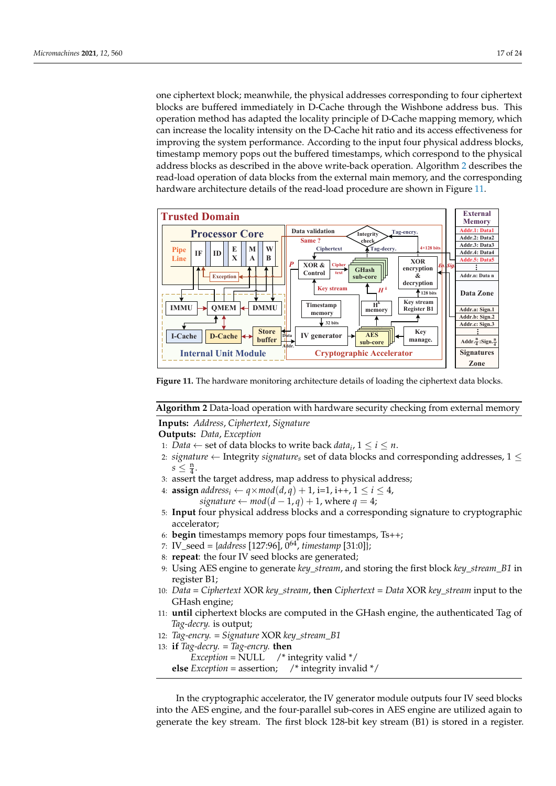one ciphertext block; meanwhile, the physical addresses corresponding to four ciphertext blocks are buffered immediately in D-Cache through the Wishbone address bus. This operation method has adapted the locality principle of D-Cache mapping memory, which can increase the locality intensity on the D-Cache hit ratio and its access effectiveness for improving the system performance. According to the input four physical address blocks, timestamp memory pops out the buffered timestamps, which correspond to the physical address blocks as described in the above write-back operation. Algorithm [2](#page-16-0) describes the read-load operation of data blocks from the external main memory, and the corresponding hardware architecture details of the read-load procedure are shown in Figure [11.](#page-16-1)

<span id="page-16-1"></span>

**Figure 11.** The hardware monitoring architecture details of loading the ciphertext data blocks.

<span id="page-16-0"></span>**Algorithm 2** Data-load operation with hardware security checking from external memory

**Inputs:** *Address*, *Ciphertext*, *Signature*

**Outputs:** *Data*, *Exception*

- 1: *Data*  $\leftarrow$  set of data blocks to write back *data*<sub>*i*</sub>,  $1 \le i \le n$ .
- 2: *signature* ← Integrity *signature*<sub>s</sub> set of data blocks and corresponding addresses,  $1 \leq$  $s\leq \frac{\mathsf{n}}{4}.$
- 3: assert the target address, map address to physical address;

4: **assign**  $address_i \leftarrow q \times mod(d, q) + 1$ , i=1, i++,  $1 \leq i \leq 4$ , *signature*  $\leftarrow$  *mod*( $d$  − 1,  $q$ ) + 1, where  $q$  = 4;

- 5: **Input** four physical address blocks and a corresponding signature to cryptographic accelerator;
- 6: **begin** timestamps memory pops four timestamps, Ts++;
- 7: IV\_seed = {*address* [127:96], 0<sup>64</sup> , *timestamp* [31:0]};
- 8: **repeat**: the four IV seed blocks are generated;
- 9: Using AES engine to generate *key\_stream*, and storing the first block *key\_stream\_B1* in register B1;
- 10: *Data* = *Ciphertext* XOR *key\_stream*, **then** *Ciphertext* = *Data* XOR *key\_stream* input to the GHash engine;
- 11: **until** ciphertext blocks are computed in the GHash engine, the authenticated Tag of *Tag-decry.* is output;
- 12: *Tag-encry.* = *Signature* XOR *key\_stream\_B1*
- 13: **if** *Tag-decry.* = *Tag-encry.* **then**

*Exception* = NULL  $'$  integrity valid  $*/$ **else** *Exception* = assertion; /\* integrity invalid \*/

In the cryptographic accelerator, the IV generator module outputs four IV seed blocks into the AES engine, and the four-parallel sub-cores in AES engine are utilized again to generate the key stream. The first block 128-bit key stream (B1) is stored in a register.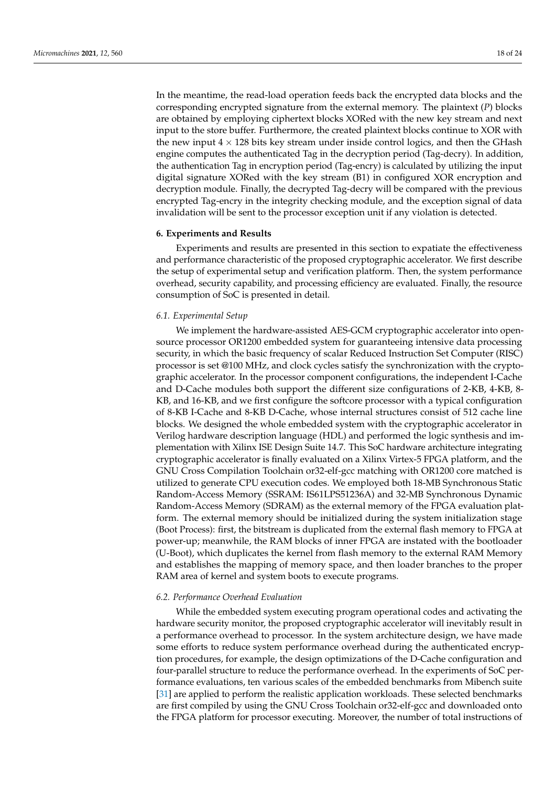In the meantime, the read-load operation feeds back the encrypted data blocks and the corresponding encrypted signature from the external memory. The plaintext (*P*) blocks are obtained by employing ciphertext blocks XORed with the new key stream and next input to the store buffer. Furthermore, the created plaintext blocks continue to XOR with the new input  $4 \times 128$  bits key stream under inside control logics, and then the GHash engine computes the authenticated Tag in the decryption period (Tag-decry). In addition, the authentication Tag in encryption period (Tag-encry) is calculated by utilizing the input digital signature XORed with the key stream (B1) in configured XOR encryption and decryption module. Finally, the decrypted Tag-decry will be compared with the previous encrypted Tag-encry in the integrity checking module, and the exception signal of data invalidation will be sent to the processor exception unit if any violation is detected.

#### <span id="page-17-0"></span>**6. Experiments and Results**

Experiments and results are presented in this section to expatiate the effectiveness and performance characteristic of the proposed cryptographic accelerator. We first describe the setup of experimental setup and verification platform. Then, the system performance overhead, security capability, and processing efficiency are evaluated. Finally, the resource consumption of SoC is presented in detail.

#### *6.1. Experimental Setup*

We implement the hardware-assisted AES-GCM cryptographic accelerator into opensource processor OR1200 embedded system for guaranteeing intensive data processing security, in which the basic frequency of scalar Reduced Instruction Set Computer (RISC) processor is set @100 MHz, and clock cycles satisfy the synchronization with the cryptographic accelerator. In the processor component configurations, the independent I-Cache and D-Cache modules both support the different size configurations of 2-KB, 4-KB, 8- KB, and 16-KB, and we first configure the softcore processor with a typical configuration of 8-KB I-Cache and 8-KB D-Cache, whose internal structures consist of 512 cache line blocks. We designed the whole embedded system with the cryptographic accelerator in Verilog hardware description language (HDL) and performed the logic synthesis and implementation with Xilinx ISE Design Suite 14.7. This SoC hardware architecture integrating cryptographic accelerator is finally evaluated on a Xilinx Virtex-5 FPGA platform, and the GNU Cross Compilation Toolchain or32-elf-gcc matching with OR1200 core matched is utilized to generate CPU execution codes. We employed both 18-MB Synchronous Static Random-Access Memory (SSRAM: IS61LPS51236A) and 32-MB Synchronous Dynamic Random-Access Memory (SDRAM) as the external memory of the FPGA evaluation platform. The external memory should be initialized during the system initialization stage (Boot Process): first, the bitstream is duplicated from the external flash memory to FPGA at power-up; meanwhile, the RAM blocks of inner FPGA are instated with the bootloader (U-Boot), which duplicates the kernel from flash memory to the external RAM Memory and establishes the mapping of memory space, and then loader branches to the proper RAM area of kernel and system boots to execute programs.

## *6.2. Performance Overhead Evaluation*

While the embedded system executing program operational codes and activating the hardware security monitor, the proposed cryptographic accelerator will inevitably result in a performance overhead to processor. In the system architecture design, we have made some efforts to reduce system performance overhead during the authenticated encryption procedures, for example, the design optimizations of the D-Cache configuration and four-parallel structure to reduce the performance overhead. In the experiments of SoC performance evaluations, ten various scales of the embedded benchmarks from Mibench suite [\[31\]](#page-23-17) are applied to perform the realistic application workloads. These selected benchmarks are first compiled by using the GNU Cross Toolchain or32-elf-gcc and downloaded onto the FPGA platform for processor executing. Moreover, the number of total instructions of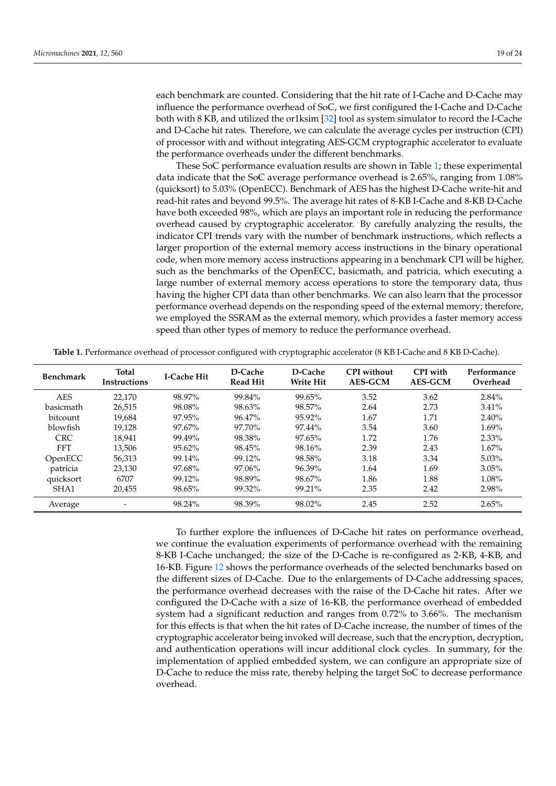each benchmark are counted. Considering that the hit rate of I-Cache and D-Cache may influence the performance overhead of SoC, we first configured the I-Cache and D-Cache both with 8 KB, and utilized the or1ksim [\[32\]](#page-23-18) tool as system simulator to record the I-Cache and D-Cache hit rates. Therefore, we can calculate the average cycles per instruction (CPI) of processor with and without integrating AES-GCM cryptographic accelerator to evaluate the performance overheads under the different benchmarks.

These SoC performance evaluation results are shown in Table [1;](#page-18-0) these experimental data indicate that the SoC average performance overhead is 2.65%, ranging from 1.08% (quicksort) to 5.03% (OpenECC). Benchmark of AES has the highest D-Cache write-hit and read-hit rates and beyond 99.5%. The average hit rates of 8-KB I-Cache and 8-KB D-Cache have both exceeded 98%, which are plays an important role in reducing the performance overhead caused by cryptographic accelerator. By carefully analyzing the results, the indicator CPI trends vary with the number of benchmark instructions, which reflects a larger proportion of the external memory access instructions in the binary operational code, when more memory access instructions appearing in a benchmark CPI will be higher, such as the benchmarks of the OpenECC, basicmath, and patricia, which executing a large number of external memory access operations to store the temporary data, thus having the higher CPI data than other benchmarks. We can also learn that the processor performance overhead depends on the responding speed of the external memory; therefore, we employed the SSRAM as the external memory, which provides a faster memory access speed than other types of memory to reduce the performance overhead.

<span id="page-18-0"></span>

|  | Table 1. Performance overhead of processor configured with cryptographic accelerator (8 KB I-Cache and 8 KB D-Cache). |  |  |  |  |  |  |  |  |  |  |  |  |
|--|-----------------------------------------------------------------------------------------------------------------------|--|--|--|--|--|--|--|--|--|--|--|--|
|--|-----------------------------------------------------------------------------------------------------------------------|--|--|--|--|--|--|--|--|--|--|--|--|

| <b>Benchmark</b> | <b>Total</b><br><b>Instructions</b> | <b>I-Cache Hit</b> | D-Cache<br><b>Read Hit</b> | D-Cache<br><b>Write Hit</b> | <b>CPI</b> without<br><b>AES-GCM</b> | <b>CPI</b> with<br><b>AES-GCM</b> | Performance<br>Overhead |
|------------------|-------------------------------------|--------------------|----------------------------|-----------------------------|--------------------------------------|-----------------------------------|-------------------------|
| <b>AES</b>       | 22.170                              | 98.97%             | 99.84%                     | 99.65%                      | 3.52                                 | 3.62                              | $2.84\%$                |
| basicmath        | 26.515                              | 98.08%             | 98.63%                     | 98.57%                      | 2.64                                 | 2.73                              | 3.41%                   |
| bitcount         | 19.684                              | 97.95%             | 96.47%                     | 95.92%                      | 1.67                                 | 1.71                              | 2.40%                   |
| blowfish         | 19.128                              | $97.67\%$          | 97.70%                     | 97.44%                      | 3.54                                 | 3.60                              | $1.69\%$                |
| <b>CRC</b>       | 18,941                              | 99.49%             | 98.38%                     | 97.65%                      | 1.72                                 | 1.76                              | $2.33\%$                |
| <b>FFT</b>       | 13.506                              | $95.62\%$          | 98.45%                     | 98.16%                      | 2.39                                 | 2.43                              | $1.67\%$                |
| OpenECC          | 56.313                              | 99.14%             | 99.12%                     | 98.58%                      | 3.18                                 | 3.34                              | $5.03\%$                |
| patricia         | 23,130                              | 97.68%             | 97.06%                     | 96.39%                      | 1.64                                 | 1.69                              | $3.05\%$                |
| quicksort        | 6707                                | 99.12%             | 98.89%                     | 98.67%                      | 1.86                                 | 1.88                              | $1.08\%$                |
| SHA1             | 20,455                              | 98.65%             | 99.32%                     | 99.21%                      | 2.35                                 | 2.42                              | 2.98%                   |
| Average          |                                     | 98.24%             | 98.39%                     | 98.02%                      | 2.45                                 | 2.52                              | 2.65%                   |

To further explore the influences of D-Cache hit rates on performance overhead, we continue the evaluation experiments of performance overhead with the remaining 8-KB I-Cache unchanged; the size of the D-Cache is re-configured as 2-KB, 4-KB, and 16-KB. Figure [12](#page-19-0) shows the performance overheads of the selected benchmarks based on the different sizes of D-Cache. Due to the enlargements of D-Cache addressing spaces, the performance overhead decreases with the raise of the D-Cache hit rates. After we configured the D-Cache with a size of 16-KB, the performance overhead of embedded system had a significant reduction and ranges from 0.72% to 3.66%. The mechanism for this effects is that when the hit rates of D-Cache increase, the number of times of the cryptographic accelerator being invoked will decrease, such that the encryption, decryption, and authentication operations will incur additional clock cycles. In summary, for the implementation of applied embedded system, we can configure an appropriate size of D-Cache to reduce the miss rate, thereby helping the target SoC to decrease performance overhead.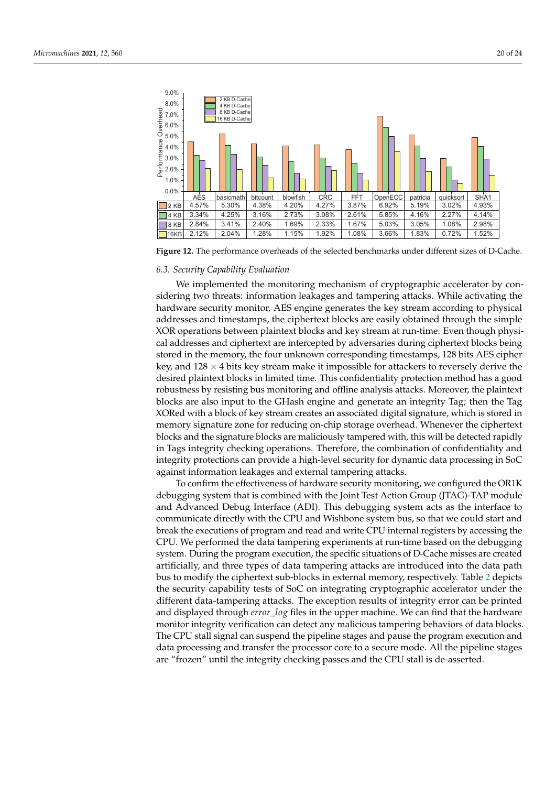

| မ္မွ<br>စ္ 7.0% –<br>흔<br>ඉ 6.0% -                       |       | 8 KB D-Cache<br>16 KB D-Cache |          |          |            |       |         |          |           |                  |
|----------------------------------------------------------|-------|-------------------------------|----------|----------|------------|-------|---------|----------|-----------|------------------|
| Ó <sub>5.0%</sub> .<br>$\frac{8}{6}$ 4.0%                |       |                               |          |          |            |       |         |          |           |                  |
|                                                          |       |                               |          |          |            |       |         |          |           |                  |
| $\frac{2}{5}$ 3.0% –<br>$\frac{2}{5}$ 2.0% –<br><b>L</b> |       |                               |          |          |            |       |         |          |           |                  |
| $1.0\%$<br>0.0%                                          |       |                               |          |          |            |       |         |          |           |                  |
|                                                          | AĖS   | basicmath                     | bitcount | blowfish | <b>CRC</b> | FFT   | OpenECC | patricia | quicksort | SHA <sub>1</sub> |
| 2 <sub>KB</sub>                                          | 4.57% | 5.30%                         | 4.38%    | 4.20%    | 4.27%      | 3.87% | 6.92%   | 5.19%    | 3.02%     | 4.93%            |
| 4 KB                                                     | 3.34% | 4.25%                         | 3.16%    | 2.73%    | 3.08%      | 2.61% | 5.85%   | 4.16%    | 2.27%     | 4.14%            |
| 8 KB                                                     | 2.84% | 3.41%                         | 2.40%    | 1.69%    | 2.33%      | 1.67% | 5.03%   | 3.05%    | 1.08%     | 2.98%            |
| 16KB                                                     | 2.12% | 2.04%                         | 1.28%    | 1.15%    | 1.92%      | 1.08% | 3.66%   | 1.83%    | 0.72%     | 1.52%            |

**Figure 12.** The performance overheads of the selected benchmarks under different sizes of D-Cache.

# *6.3. Security Capability Evaluation*

<span id="page-19-0"></span>4.0% 5.0% 6.0% 7.0% 8.0% 9.0%

pe: Overhe

We implemented the monitoring mechanism of cryptographic accelerator by considering two threats: information leakages and tampering attacks. While activating the hardware security monitor, AES engine generates the key stream according to physical addresses and timestamps, the ciphertext blocks are easily obtained through the simple XOR operations between plaintext blocks and key stream at run-time. Even though physical addresses and ciphertext are intercepted by adversaries during ciphertext blocks being stored in the memory, the four unknown corresponding timestamps, 128 bits AES cipher key, and  $128 \times 4$  bits key stream make it impossible for attackers to reversely derive the desired plaintext blocks in limited time. This confidentiality protection method has a good robustness by resisting bus monitoring and offline analysis attacks. Moreover, the plaintext blocks are also input to the GHash engine and generate an integrity Tag; then the Tag XORed with a block of key stream creates an associated digital signature, which is stored in memory signature zone for reducing on-chip storage overhead. Whenever the ciphertext blocks and the signature blocks are maliciously tampered with, this will be detected rapidly in Tags integrity checking operations. Therefore, the combination of confidentiality and integrity protections can provide a high-level security for dynamic data processing in SoC against information leakages and external tampering attacks.

To confirm the effectiveness of hardware security monitoring, we configured the OR1K debugging system that is combined with the Joint Test Action Group (JTAG)-TAP module and Advanced Debug Interface (ADI). This debugging system acts as the interface to communicate directly with the CPU and Wishbone system bus, so that we could start and break the executions of program and read and write CPU internal registers by accessing the CPU. We performed the data tampering experiments at run-time based on the debugging system. During the program execution, the specific situations of D-Cache misses are created artificially, and three types of data tampering attacks are introduced into the data path bus to modify the ciphertext sub-blocks in external memory, respectively. Table [2](#page-20-0) depicts the security capability tests of SoC on integrating cryptographic accelerator under the different data-tampering attacks. The exception results of integrity error can be printed and displayed through *error*\_*log* files in the upper machine. We can find that the hardware monitor integrity verification can detect any malicious tampering behaviors of data blocks. The CPU stall signal can suspend the pipeline stages and pause the program execution and data processing and transfer the processor core to a secure mode. All the pipeline stages are "frozen" until the integrity checking passes and the CPU stall is de-asserted.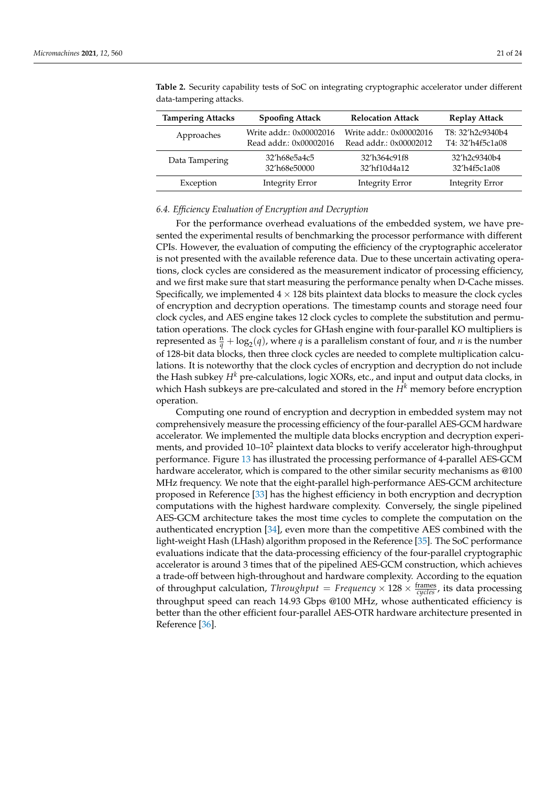| <b>Tampering Attacks</b> | <b>Spoofing Attack</b>  | <b>Relocation Attack</b> | <b>Replay Attack</b>   |
|--------------------------|-------------------------|--------------------------|------------------------|
| Approaches               | Write addr.: 0x00002016 | Write addr.: 0x00002016  | T8: 32'h2c9340b4       |
|                          | Read addr.: 0x00002016  | Read addr.: 0x00002012   | T4: 32'h4f5c1a08       |
| Data Tampering           | 32'h68e5a4c5            | 32'h364c91f8             | 32'h2c9340b4           |
|                          | 32'h68e50000            | 32'hf10d4a12             | 32'h4f5c1a08           |
| Exception                | <b>Integrity Error</b>  | <b>Integrity Error</b>   | <b>Integrity Error</b> |

<span id="page-20-0"></span>**Table 2.** Security capability tests of SoC on integrating cryptographic accelerator under different data-tampering attacks.

## *6.4. Efficiency Evaluation of Encryption and Decryption*

For the performance overhead evaluations of the embedded system, we have presented the experimental results of benchmarking the processor performance with different CPIs. However, the evaluation of computing the efficiency of the cryptographic accelerator is not presented with the available reference data. Due to these uncertain activating operations, clock cycles are considered as the measurement indicator of processing efficiency, and we first make sure that start measuring the performance penalty when D-Cache misses. Specifically, we implemented  $4 \times 128$  bits plaintext data blocks to measure the clock cycles of encryption and decryption operations. The timestamp counts and storage need four clock cycles, and AES engine takes 12 clock cycles to complete the substitution and permutation operations. The clock cycles for GHash engine with four-parallel KO multipliers is represented as  $\frac{n}{q} + \log_2(q)$ , where *q* is a parallelism constant of four, and *n* is the number of 128-bit data blocks, then three clock cycles are needed to complete multiplication calculations. It is noteworthy that the clock cycles of encryption and decryption do not include the Hash subkey *H<sup>k</sup>* pre-calculations, logic XORs, etc., and input and output data clocks, in which Hash subkeys are pre-calculated and stored in the  $H<sup>k</sup>$  memory before encryption operation.

Computing one round of encryption and decryption in embedded system may not comprehensively measure the processing efficiency of the four-parallel AES-GCM hardware accelerator. We implemented the multiple data blocks encryption and decryption experiments, and provided  $10-10^2$  plaintext data blocks to verify accelerator high-throughput performance. Figure [13](#page-21-0) has illustrated the processing performance of 4-parallel AES-GCM hardware accelerator, which is compared to the other similar security mechanisms as @100 MHz frequency. We note that the eight-parallel high-performance AES-GCM architecture proposed in Reference [\[33\]](#page-23-19) has the highest efficiency in both encryption and decryption computations with the highest hardware complexity. Conversely, the single pipelined AES-GCM architecture takes the most time cycles to complete the computation on the authenticated encryption [\[34\]](#page-23-20), even more than the competitive AES combined with the light-weight Hash (LHash) algorithm proposed in the Reference [\[35\]](#page-23-21). The SoC performance evaluations indicate that the data-processing efficiency of the four-parallel cryptographic accelerator is around 3 times that of the pipelined AES-GCM construction, which achieves a trade-off between high-throughout and hardware complexity. According to the equation of throughput calculation, *Throughput* = *Frequency*  $\times$  128  $\times$   $\frac{\text{frames}}{\text{cycles}}$ , its data processing throughput speed can reach 14.93 Gbps @100 MHz, whose authenticated efficiency is better than the other efficient four-parallel AES-OTR hardware architecture presented in Reference [\[36\]](#page-23-22).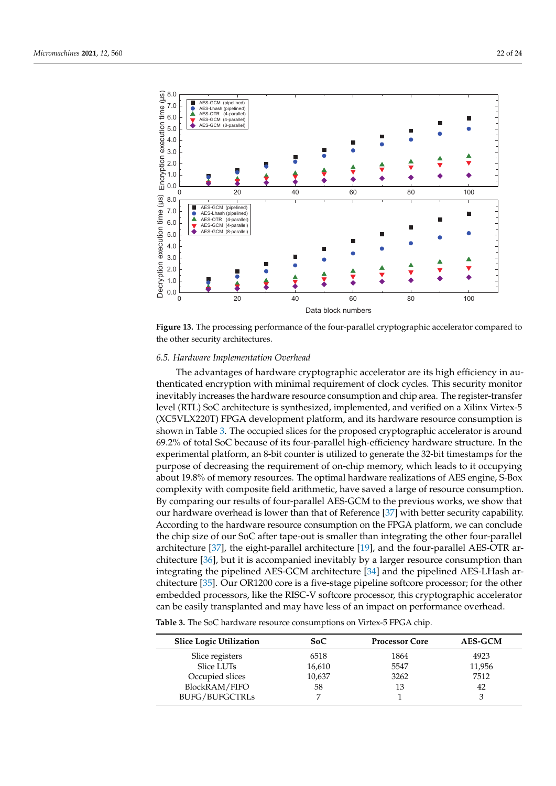<span id="page-21-0"></span>

**Figure 13.** The processing performance of the four-parallel cryptographic accelerator compared to the other security architectures.

#### *6.5. Hardware Implementation Overhead*

The advantages of hardware cryptographic accelerator are its high efficiency in authenticated encryption with minimal requirement of clock cycles. This security monitor inevitably increases the hardware resource consumption and chip area. The register-transfer level (RTL) SoC architecture is synthesized, implemented, and verified on a Xilinx Virtex-5 (XC5VLX220T) FPGA development platform, and its hardware resource consumption is shown in Table [3.](#page-21-1) The occupied slices for the proposed cryptographic accelerator is around 69.2% of total SoC because of its four-parallel high-efficiency hardware structure. In the experimental platform, an 8-bit counter is utilized to generate the 32-bit timestamps for the purpose of decreasing the requirement of on-chip memory, which leads to it occupying about 19.8% of memory resources. The optimal hardware realizations of AES engine, S-Box complexity with composite field arithmetic, have saved a large of resource consumption. By comparing our results of four-parallel AES-GCM to the previous works, we show that our hardware overhead is lower than that of Reference [\[37\]](#page-23-23) with better security capability. According to the hardware resource consumption on the FPGA platform, we can conclude the chip size of our SoC after tape-out is smaller than integrating the other four-parallel architecture [\[37\]](#page-23-23), the eight-parallel architecture [\[19\]](#page-23-5), and the four-parallel AES-OTR architecture [\[36\]](#page-23-22), but it is accompanied inevitably by a larger resource consumption than integrating the pipelined AES-GCM architecture [\[34\]](#page-23-20) and the pipelined AES-LHash architecture [\[35\]](#page-23-21). Our OR1200 core is a five-stage pipeline softcore processor; for the other embedded processors, like the RISC-V softcore processor, this cryptographic accelerator can be easily transplanted and may have less of an impact on performance overhead.

<span id="page-21-1"></span>**Table 3.** The SoC hardware resource consumptions on Virtex-5 FPGA chip.

| <b>Slice Logic Utilization</b> | SoC    | <b>Processor Core</b> | <b>AES-GCM</b> |
|--------------------------------|--------|-----------------------|----------------|
| Slice registers                | 6518   | 1864                  | 4923           |
| Slice LUTs                     | 16,610 | 5547                  | 11,956         |
| Occupied slices                | 10,637 | 3262                  | 7512           |
| BlockRAM/FIFO                  | 58     | 13                    | 42             |
| <b>BUFG/BUFGCTRLs</b>          |        |                       |                |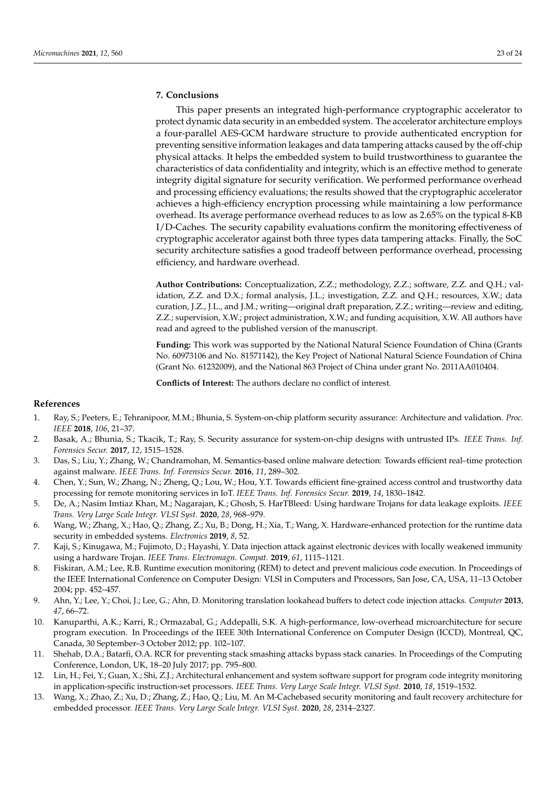# <span id="page-22-13"></span>**7. Conclusions**

This paper presents an integrated high-performance cryptographic accelerator to protect dynamic data security in an embedded system. The accelerator architecture employs a four-parallel AES-GCM hardware structure to provide authenticated encryption for preventing sensitive information leakages and data tampering attacks caused by the off-chip physical attacks. It helps the embedded system to build trustworthiness to guarantee the characteristics of data confidentiality and integrity, which is an effective method to generate integrity digital signature for security verification. We performed performance overhead and processing efficiency evaluations; the results showed that the cryptographic accelerator achieves a high-efficiency encryption processing while maintaining a low performance overhead. Its average performance overhead reduces to as low as 2.65% on the typical 8-KB I/D-Caches. The security capability evaluations confirm the monitoring effectiveness of cryptographic accelerator against both three types data tampering attacks. Finally, the SoC security architecture satisfies a good tradeoff between performance overhead, processing efficiency, and hardware overhead.

**Author Contributions:** Conceptualization, Z.Z.; methodology, Z.Z.; software, Z.Z. and Q.H.; validation, Z.Z. and D.X.; formal analysis, J.L.; investigation, Z.Z. and Q.H.; resources, X.W.; data curation, J.Z., J.L., and J.M.; writing—original draft preparation, Z.Z.; writing—review and editing, Z.Z.; supervision, X.W.; project administration, X.W.; and funding acquisition, X.W. All authors have read and agreed to the published version of the manuscript.

**Funding:** This work was supported by the National Natural Science Foundation of China (Grants No. 60973106 and No. 81571142), the Key Project of National Natural Science Foundation of China (Grant No. 61232009), and the National 863 Project of China under grant No. 2011AA010404.

**Conflicts of Interest:** The authors declare no conflict of interest.

# **References**

- <span id="page-22-0"></span>1. Ray, S.; Peeters, E.; Tehranipoor, M.M.; Bhunia, S. System-on-chip platform security assurance: Architecture and validation. *Proc. IEEE* **2018**, *106*, 21–37.
- <span id="page-22-1"></span>2. Basak, A.; Bhunia, S.; Tkacik, T.; Ray, S. Security assurance for system-on-chip designs with untrusted IPs. *IEEE Trans. Inf. Forensics Secur.* **2017**, *12*, 1515–1528.
- <span id="page-22-2"></span>3. Das, S.; Liu, Y.; Zhang, W.; Chandramohan, M. Semantics-based online malware detection: Towards efficient real–time protection against malware. *IEEE Trans. Inf. Forensics Secur.* **2016**, *11*, 289–302.
- <span id="page-22-3"></span>4. Chen, Y.; Sun, W.; Zhang, N.; Zheng, Q.; Lou, W.; Hou, Y.T. Towards efficient fine-grained access control and trustworthy data processing for remote monitoring services in IoT. *IEEE Trans. Inf. Forensics Secur.* **2019**, *14*, 1830–1842.
- <span id="page-22-4"></span>5. De, A.; Nasim Imtiaz Khan, M.; Nagarajan, K.; Ghosh, S. HarTBleed: Using hardware Trojans for data leakage exploits. *IEEE Trans. Very Large Scale Integr. VLSI Syst.* **2020**, *28*, 968–979.
- <span id="page-22-5"></span>6. Wang, W.; Zhang, X.; Hao, Q.; Zhang, Z.; Xu, B.; Dong, H.; Xia, T.; Wang, X. Hardware-enhanced protection for the runtime data security in embedded systems. *Electronics* **2019**, *8*, 52.
- <span id="page-22-6"></span>7. Kaji, S.; Kinugawa, M.; Fujimoto, D.; Hayashi, Y. Data injection attack against electronic devices with locally weakened immunity using a hardware Trojan. *IEEE Trans. Electromagn. Compat.* **2019**, *61*, 1115–1121.
- <span id="page-22-7"></span>8. Fiskiran, A.M.; Lee, R.B. Runtime execution monitoring (REM) to detect and prevent malicious code execution. In Proceedings of the IEEE International Conference on Computer Design: VLSI in Computers and Processors, San Jose, CA, USA, 11–13 October 2004; pp. 452–457.
- <span id="page-22-8"></span>9. Ahn, Y.; Lee, Y.; Choi, J.; Lee, G.; Ahn, D. Monitoring translation lookahead buffers to detect code injection attacks. *Computer* **2013**, *47*, 66–72.
- <span id="page-22-9"></span>10. Kanuparthi, A.K.; Karri, R.; Ormazabal, G.; Addepalli, S.K. A high-performance, low-overhead microarchitecture for secure program execution. In Proceedings of the IEEE 30th International Conference on Computer Design (ICCD), Montreal, QC, Canada, 30 September–3 October 2012; pp. 102–107.
- <span id="page-22-10"></span>11. Shehab, D.A.; Batarfi, O.A. RCR for preventing stack smashing attacks bypass stack canaries. In Proceedings of the Computing Conference, London, UK, 18–20 July 2017; pp. 795–800.
- <span id="page-22-11"></span>12. Lin, H.; Fei, Y.; Guan, X.; Shi, Z.J.; Architectural enhancement and system software support for program code integrity monitoring in application-specific instruction-set processors. *IEEE Trans. Very Large Scale Integr. VLSI Syst.* **2010**, *18*, 1519–1532.
- <span id="page-22-12"></span>13. Wang, X.; Zhao, Z.; Xu, D.; Zhang, Z.; Hao, Q.; Liu, M. An M-Cachebased security monitoring and fault recovery architecture for embedded processor. *IEEE Trans. Very Large Scale Integr. VLSI Syst.* **2020**, *28*, 2314–2327.